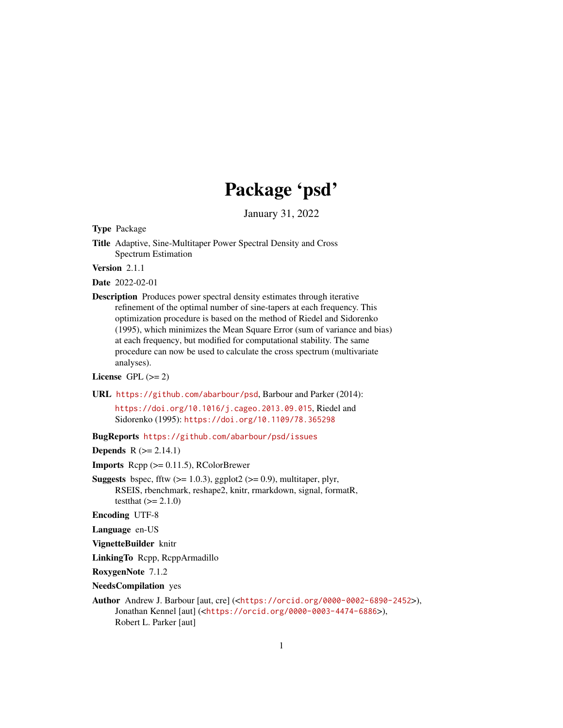# Package 'psd'

January 31, 2022

<span id="page-0-0"></span>Type Package

Title Adaptive, Sine-Multitaper Power Spectral Density and Cross Spectrum Estimation

Version 2.1.1

Date 2022-02-01

Description Produces power spectral density estimates through iterative refinement of the optimal number of sine-tapers at each frequency. This optimization procedure is based on the method of Riedel and Sidorenko (1995), which minimizes the Mean Square Error (sum of variance and bias) at each frequency, but modified for computational stability. The same procedure can now be used to calculate the cross spectrum (multivariate analyses).

License GPL  $(>= 2)$ 

URL <https://github.com/abarbour/psd>, Barbour and Parker (2014):

<https://doi.org/10.1016/j.cageo.2013.09.015>, Riedel and Sidorenko (1995): <https://doi.org/10.1109/78.365298>

BugReports <https://github.com/abarbour/psd/issues>

**Depends**  $R$  ( $>= 2.14.1$ )

**Imports** Rcpp  $(>= 0.11.5)$ , RColorBrewer

**Suggests** bspec, fftw  $(>= 1.0.3)$ , ggplot2  $(>= 0.9)$ , multitaper, plyr, RSEIS, rbenchmark, reshape2, knitr, rmarkdown, signal, formatR, testthat  $(>= 2.1.0)$ 

Encoding UTF-8

Language en-US

VignetteBuilder knitr

LinkingTo Rcpp, RcppArmadillo

RoxygenNote 7.1.2

NeedsCompilation yes

Author Andrew J. Barbour [aut, cre] (<<https://orcid.org/0000-0002-6890-2452>>), Jonathan Kennel [aut] (<<https://orcid.org/0000-0003-4474-6886>>), Robert L. Parker [aut]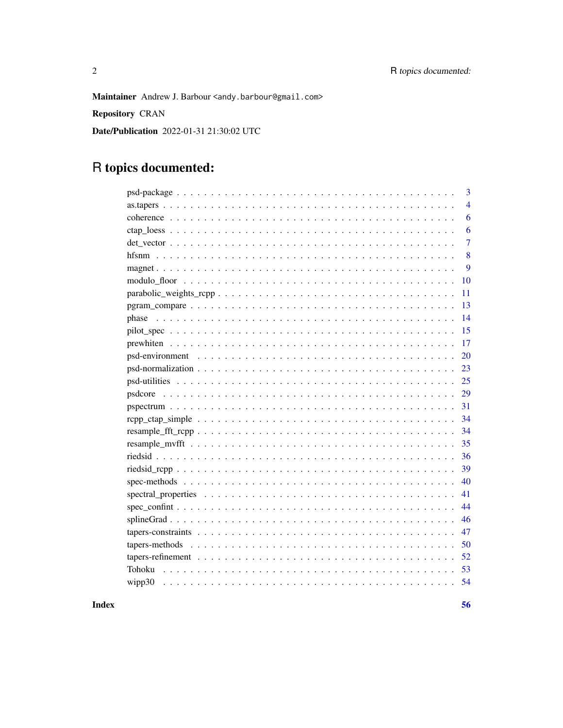Maintainer Andrew J. Barbour <andy.barbour@gmail.com>

Repository CRAN

Date/Publication 2022-01-31 21:30:02 UTC

# R topics documented:

| 3                                                                                                                         |
|---------------------------------------------------------------------------------------------------------------------------|
| $\overline{4}$                                                                                                            |
| 6                                                                                                                         |
| 6                                                                                                                         |
| $\overline{7}$                                                                                                            |
| 8                                                                                                                         |
| 9                                                                                                                         |
| 10                                                                                                                        |
| 11                                                                                                                        |
| 13                                                                                                                        |
| 14                                                                                                                        |
| 15                                                                                                                        |
| 17                                                                                                                        |
| 20                                                                                                                        |
| $psd-normalization \dots \dots \dots \dots \dots \dots \dots \dots \dots \dots \dots \dots \dots \dots \dots \dots$<br>23 |
| 25                                                                                                                        |
| 29                                                                                                                        |
| 31                                                                                                                        |
| 34                                                                                                                        |
| 34                                                                                                                        |
| 35                                                                                                                        |
| 36                                                                                                                        |
| 39                                                                                                                        |
| 40                                                                                                                        |
| 41                                                                                                                        |
| 44                                                                                                                        |
| 46                                                                                                                        |
| 47                                                                                                                        |
| 50                                                                                                                        |
| 52                                                                                                                        |
| 53<br>Tohoku                                                                                                              |
| 54<br>wipp30                                                                                                              |
|                                                                                                                           |

**Index**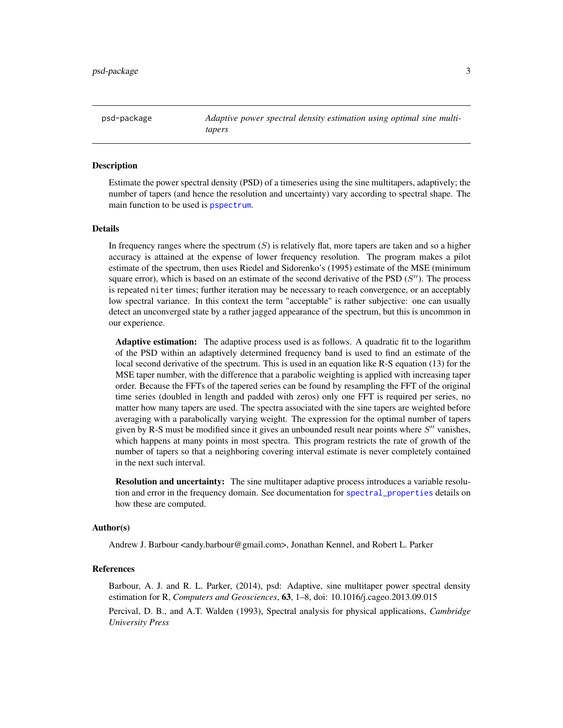<span id="page-2-1"></span><span id="page-2-0"></span>psd-package *Adaptive power spectral density estimation using optimal sine multitapers*

# Description

Estimate the power spectral density (PSD) of a timeseries using the sine multitapers, adaptively; the number of tapers (and hence the resolution and uncertainty) vary according to spectral shape. The main function to be used is [pspectrum](#page-30-1).

#### Details

In frequency ranges where the spectrum  $(S)$  is relatively flat, more tapers are taken and so a higher accuracy is attained at the expense of lower frequency resolution. The program makes a pilot estimate of the spectrum, then uses Riedel and Sidorenko's (1995) estimate of the MSE (minimum square error), which is based on an estimate of the second derivative of the PSD  $(S'')$ . The process is repeated niter times; further iteration may be necessary to reach convergence, or an acceptably low spectral variance. In this context the term "acceptable" is rather subjective: one can usually detect an unconverged state by a rather jagged appearance of the spectrum, but this is uncommon in our experience.

Adaptive estimation: The adaptive process used is as follows. A quadratic fit to the logarithm of the PSD within an adaptively determined frequency band is used to find an estimate of the local second derivative of the spectrum. This is used in an equation like R-S equation (13) for the MSE taper number, with the difference that a parabolic weighting is applied with increasing taper order. Because the FFTs of the tapered series can be found by resampling the FFT of the original time series (doubled in length and padded with zeros) only one FFT is required per series, no matter how many tapers are used. The spectra associated with the sine tapers are weighted before averaging with a parabolically varying weight. The expression for the optimal number of tapers given by R-S must be modified since it gives an unbounded result near points where  $S''$  vanishes, which happens at many points in most spectra. This program restricts the rate of growth of the number of tapers so that a neighboring covering interval estimate is never completely contained in the next such interval.

Resolution and uncertainty: The sine multitaper adaptive process introduces a variable resolution and error in the frequency domain. See documentation for [spectral\\_properties](#page-40-1) details on how these are computed.

#### Author(s)

Andrew J. Barbour <andy.barbour@gmail.com>, Jonathan Kennel, and Robert L. Parker

# References

Barbour, A. J. and R. L. Parker, (2014), psd: Adaptive, sine multitaper power spectral density estimation for R, *Computers and Geosciences*, 63, 1–8, doi: 10.1016/j.cageo.2013.09.015

Percival, D. B., and A.T. Walden (1993), Spectral analysis for physical applications, *Cambridge University Press*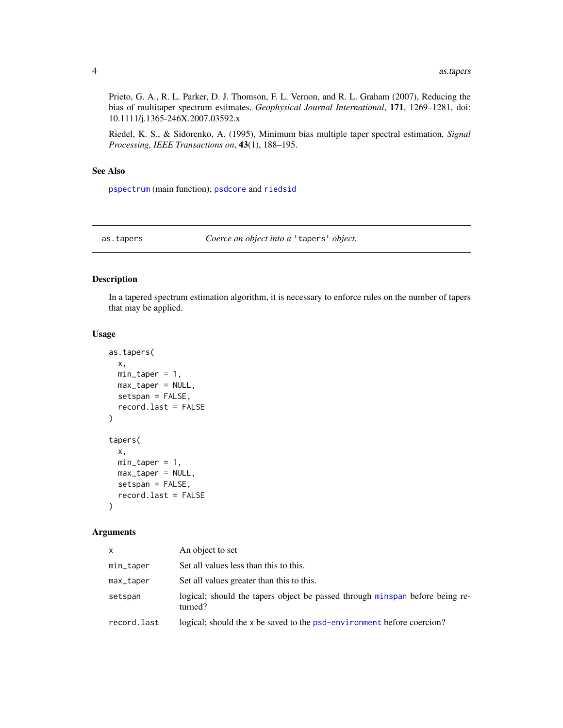<span id="page-3-0"></span>Prieto, G. A., R. L. Parker, D. J. Thomson, F. L. Vernon, and R. L. Graham (2007), Reducing the bias of multitaper spectrum estimates, *Geophysical Journal International*, 171, 1269–1281, doi: 10.1111/j.1365-246X.2007.03592.x

Riedel, K. S., & Sidorenko, A. (1995), Minimum bias multiple taper spectral estimation, *Signal Processing, IEEE Transactions on*, 43(1), 188–195.

# See Also

[pspectrum](#page-30-1) (main function); [psdcore](#page-28-1) and [riedsid](#page-35-1)

<span id="page-3-1"></span>as.tapers *Coerce an object into a* 'tapers' *object.*

# <span id="page-3-2"></span>Description

In a tapered spectrum estimation algorithm, it is necessary to enforce rules on the number of tapers that may be applied.

#### Usage

```
as.tapers(
  x,
 min\_taper = 1,
 max_taper = NULL,
 setspan = FALSE,
  record.last = FALSE
)
tapers(
 x,
 min\_taper = 1,
 max_taper = NULL,
 setspan = FALSE,
  record.last = FALSE
)
```
# Arguments

| $\mathsf{x}$ | An object to set                                                                        |
|--------------|-----------------------------------------------------------------------------------------|
| min_taper    | Set all values less than this to this.                                                  |
| max_taper    | Set all values greater than this to this.                                               |
| setspan      | logical; should the tapers object be passed through minspan before being re-<br>turned? |
| record.last  | logical; should the x be saved to the psd-environment before coercion?                  |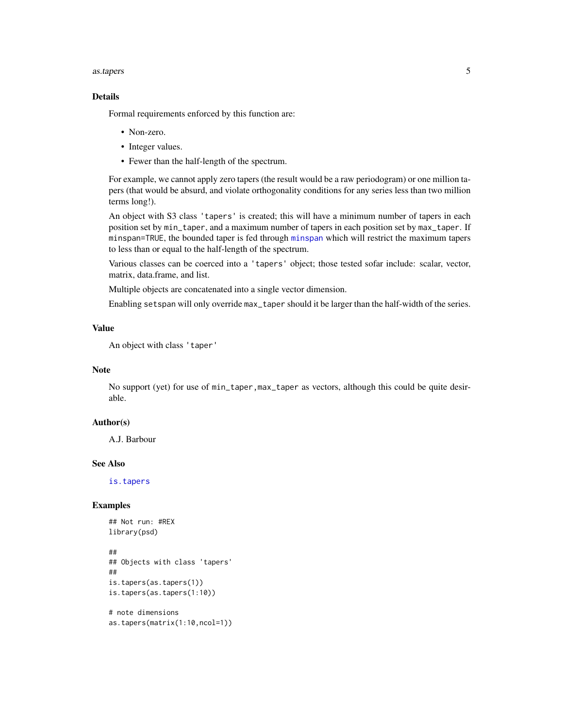#### <span id="page-4-0"></span>as.tapers 5

# Details

Formal requirements enforced by this function are:

- Non-zero.
- Integer values.
- Fewer than the half-length of the spectrum.

For example, we cannot apply zero tapers (the result would be a raw periodogram) or one million tapers (that would be absurd, and violate orthogonality conditions for any series less than two million terms long!).

An object with S3 class 'tapers' is created; this will have a minimum number of tapers in each position set by min\_taper, and a maximum number of tapers in each position set by max\_taper. If minspan=TRUE, the bounded taper is fed through [minspan](#page-46-1) which will restrict the maximum tapers to less than or equal to the half-length of the spectrum.

Various classes can be coerced into a 'tapers' object; those tested sofar include: scalar, vector, matrix, data.frame, and list.

Multiple objects are concatenated into a single vector dimension.

Enabling setspan will only override max\_taper should it be larger than the half-width of the series.

# Value

An object with class 'taper'

# Note

No support (yet) for use of min\_taper,max\_taper as vectors, although this could be quite desirable.

# Author(s)

A.J. Barbour

#### See Also

[is.tapers](#page-24-1)

```
## Not run: #REX
library(psd)
##
## Objects with class 'tapers'
##
is.tapers(as.tapers(1))
is.tapers(as.tapers(1:10))
# note dimensions
```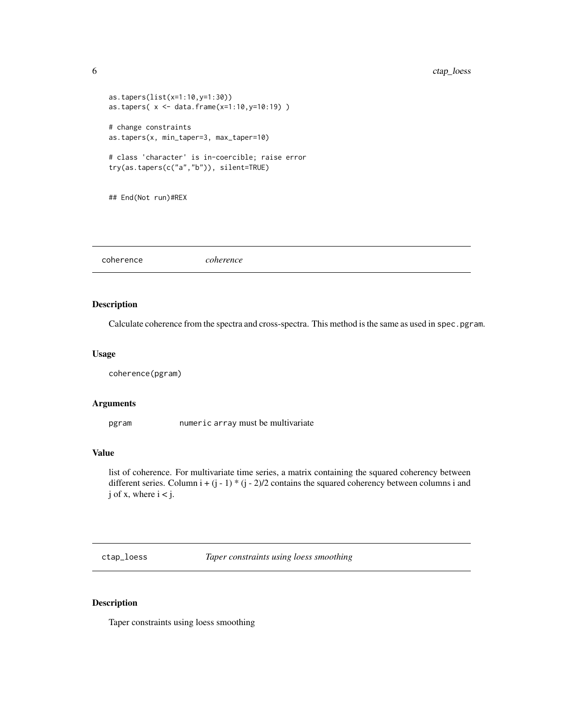```
as.tapers(list(x=1:10,y=1:30))
as.tapers( x <- data.frame(x=1:10,y=10:19) )
# change constraints
as.tapers(x, min_taper=3, max_taper=10)
# class 'character' is in-coercible; raise error
try(as.tapers(c("a","b")), silent=TRUE)
## End(Not run)#REX
```
<span id="page-5-1"></span>coherence *coherence*

# Description

Calculate coherence from the spectra and cross-spectra. This method is the same as used in spec.pgram.

# Usage

coherence(pgram)

# Arguments

pgram numeric array must be multivariate

# Value

list of coherence. For multivariate time series, a matrix containing the squared coherency between different series. Column i +  $(j - 1)$  \*  $(j - 2)/2$  contains the squared coherency between columns i and  $j$  of  $x$ , where  $i < j$ .

<span id="page-5-2"></span>ctap\_loess *Taper constraints using loess smoothing*

# Description

Taper constraints using loess smoothing

<span id="page-5-0"></span>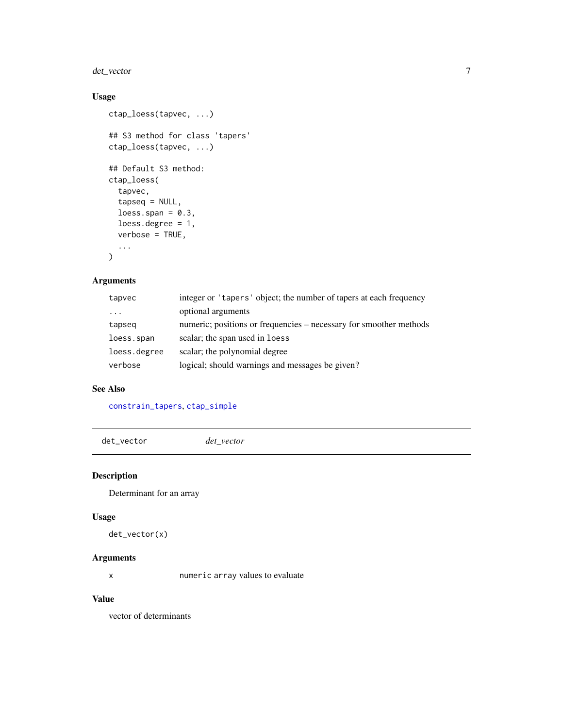<span id="page-6-0"></span>det\_vector 7

# Usage

```
ctap_loess(tapvec, ...)
## S3 method for class 'tapers'
ctap_loess(tapvec, ...)
## Default S3 method:
ctap_loess(
  tapvec,
  tapseq = NULL,
 loess.span = 0.3,
 loess.degree = 1,
 verbose = TRUE,
  ...
)
```
# Arguments

| tapvec       | integer or 'tapers' object; the number of tapers at each frequency |
|--------------|--------------------------------------------------------------------|
| .            | optional arguments                                                 |
| tapseq       | numeric; positions or frequencies – necessary for smoother methods |
| loess.span   | scalar; the span used in loess                                     |
| loess.degree | scalar; the polynomial degree                                      |
| verbose      | logical; should warnings and messages be given?                    |

#### See Also

[constrain\\_tapers](#page-46-1), [ctap\\_simple](#page-51-1)

det\_vector *det\_vector*

# Description

Determinant for an array

#### Usage

det\_vector(x)

# Arguments

x numeric array values to evaluate

# Value

vector of determinants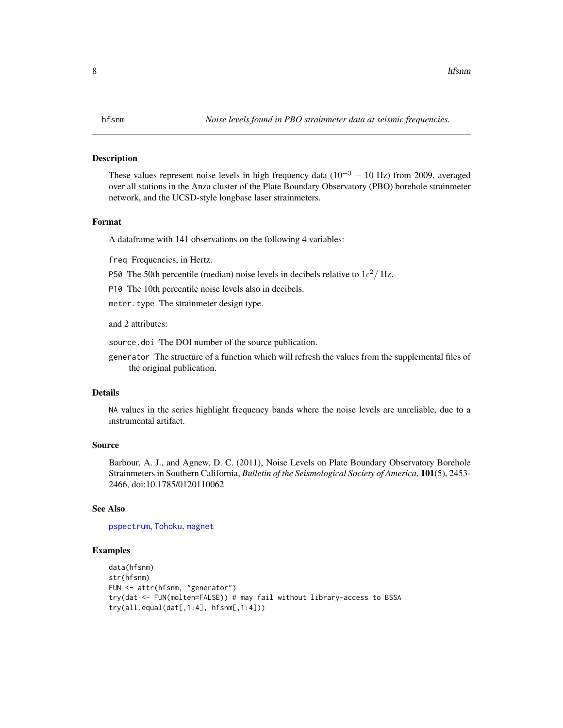<span id="page-7-1"></span><span id="page-7-0"></span>These values represent noise levels in high frequency data ( $10^{-3} - 10$  Hz) from 2009, averaged over all stations in the Anza cluster of the Plate Boundary Observatory (PBO) borehole strainmeter network, and the UCSD-style longbase laser strainmeters.

#### Format

A dataframe with 141 observations on the following 4 variables:

freq Frequencies, in Hertz.

P50 The 50th percentile (median) noise levels in decibels relative to  $1\epsilon^2/Hz$ .

P10 The 10th percentile noise levels also in decibels.

meter.type The strainmeter design type.

and 2 attributes:

source.doi The DOI number of the source publication.

generator The structure of a function which will refresh the values from the supplemental files of the original publication.

#### Details

NA values in the series highlight frequency bands where the noise levels are unreliable, due to a instrumental artifact.

# Source

Barbour, A. J., and Agnew, D. C. (2011), Noise Levels on Plate Boundary Observatory Borehole Strainmeters in Southern California, *Bulletin of the Seismological Society of America*, 101(5), 2453- 2466, doi:10.1785/0120110062

#### See Also

[pspectrum](#page-30-1), [Tohoku](#page-52-1), [magnet](#page-8-1)

```
data(hfsnm)
str(hfsnm)
FUN <- attr(hfsnm, "generator")
try(dat <- FUN(molten=FALSE)) # may fail without library-access to BSSA
try(all.equal(dat[,1:4], hfsnm[,1:4]))
```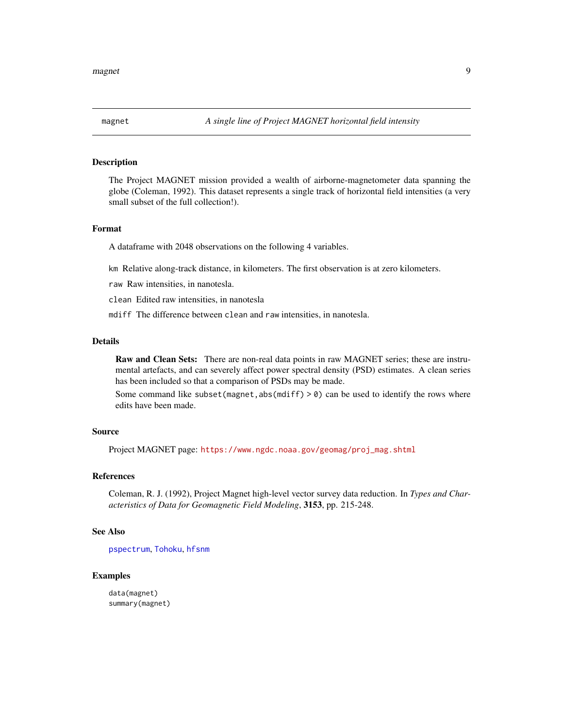<span id="page-8-1"></span><span id="page-8-0"></span>

The Project MAGNET mission provided a wealth of airborne-magnetometer data spanning the globe (Coleman, 1992). This dataset represents a single track of horizontal field intensities (a very small subset of the full collection!).

# Format

A dataframe with 2048 observations on the following 4 variables.

km Relative along-track distance, in kilometers. The first observation is at zero kilometers.

raw Raw intensities, in nanotesla.

clean Edited raw intensities, in nanotesla

mdiff The difference between clean and raw intensities, in nanotesla.

# Details

Raw and Clean Sets: There are non-real data points in raw MAGNET series; these are instrumental artefacts, and can severely affect power spectral density (PSD) estimates. A clean series has been included so that a comparison of PSDs may be made.

Some command like subset(magnet,abs(mdiff)  $> 0$ ) can be used to identify the rows where edits have been made.

#### Source

Project MAGNET page: [https://www.ngdc.noaa.gov/geomag/proj\\_mag.shtml](https://www.ngdc.noaa.gov/geomag/proj_mag.shtml)

# References

Coleman, R. J. (1992), Project Magnet high-level vector survey data reduction. In *Types and Characteristics of Data for Geomagnetic Field Modeling*, 3153, pp. 215-248.

#### See Also

[pspectrum](#page-30-1), [Tohoku](#page-52-1), [hfsnm](#page-7-1)

```
data(magnet)
summary(magnet)
```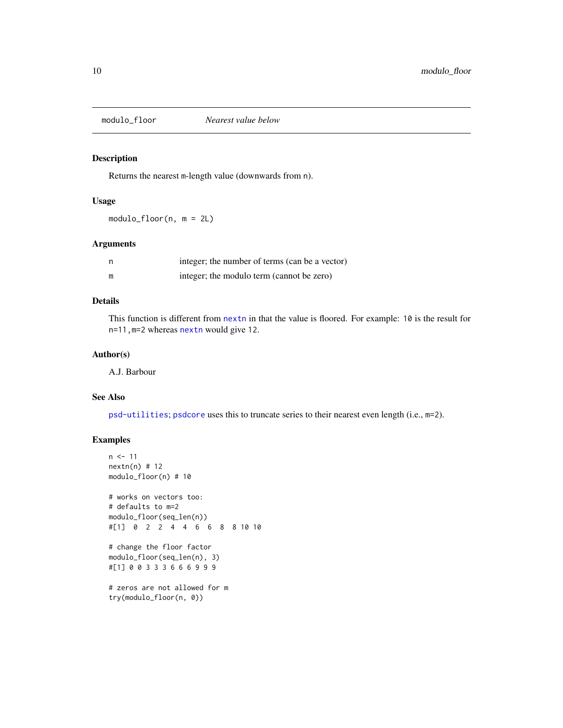<span id="page-9-1"></span><span id="page-9-0"></span>

Returns the nearest m-length value (downwards from n).

# Usage

modulo\_floor(n, m = 2L)

#### Arguments

| n | integer; the number of terms (can be a vector) |
|---|------------------------------------------------|
| m | integer; the modulo term (cannot be zero)      |

# Details

This function is different from [nextn](#page-0-0) in that the value is floored. For example: 10 is the result for n=11,m=2 whereas [nextn](#page-0-0) would give 12.

# Author(s)

A.J. Barbour

# See Also

[psd-utilities](#page-24-2); [psdcore](#page-28-1) uses this to truncate series to their nearest even length (i.e., m=2).

```
n < -11nextn(n) # 12
modulo_floor(n) # 10
# works on vectors too:
# defaults to m=2
modulo_floor(seq_len(n))
#[1] 0 2 2 4 4 6 6 8 8 10 10
# change the floor factor
modulo_floor(seq_len(n), 3)
#[1] 0 0 3 3 3 6 6 6 9 9 9
# zeros are not allowed for m
try(modulo_floor(n, 0))
```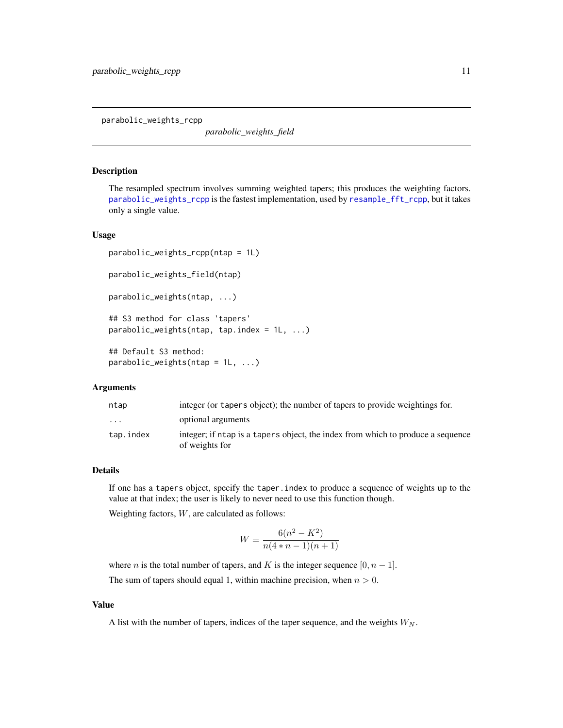<span id="page-10-1"></span><span id="page-10-0"></span>parabolic\_weights\_rcpp

*parabolic\_weights\_field*

#### <span id="page-10-2"></span>Description

The resampled spectrum involves summing weighted tapers; this produces the weighting factors. [parabolic\\_weights\\_rcpp](#page-10-1) is the fastest implementation, used by [resample\\_fft\\_rcpp](#page-33-1), but it takes only a single value.

#### Usage

```
parabolic_weights_rcpp(ntap = 1L)
parabolic_weights_field(ntap)
parabolic_weights(ntap, ...)
## S3 method for class 'tapers'
parabolic_weights(ntap, tap.index = 1L, ...)
## Default S3 method:
```

```
parabolic\_weights(ntap = 1L, ...)
```
#### Arguments

| ntap                    | integer (or tapers object); the number of tapers to provide weightings for.                       |
|-------------------------|---------------------------------------------------------------------------------------------------|
| $\cdot$ $\cdot$ $\cdot$ | optional arguments                                                                                |
| tap.index               | integer; if ntap is a tapers object, the index from which to produce a sequence<br>of weights for |

# Details

If one has a tapers object, specify the taper.index to produce a sequence of weights up to the value at that index; the user is likely to never need to use this function though.

Weighting factors,  $W$ , are calculated as follows:

$$
W \equiv \frac{6(n^2 - K^2)}{n(4*n - 1)(n + 1)}
$$

where *n* is the total number of tapers, and K is the integer sequence  $[0, n - 1]$ .

The sum of tapers should equal 1, within machine precision, when  $n > 0$ .

#### Value

A list with the number of tapers, indices of the taper sequence, and the weights  $W_N$ .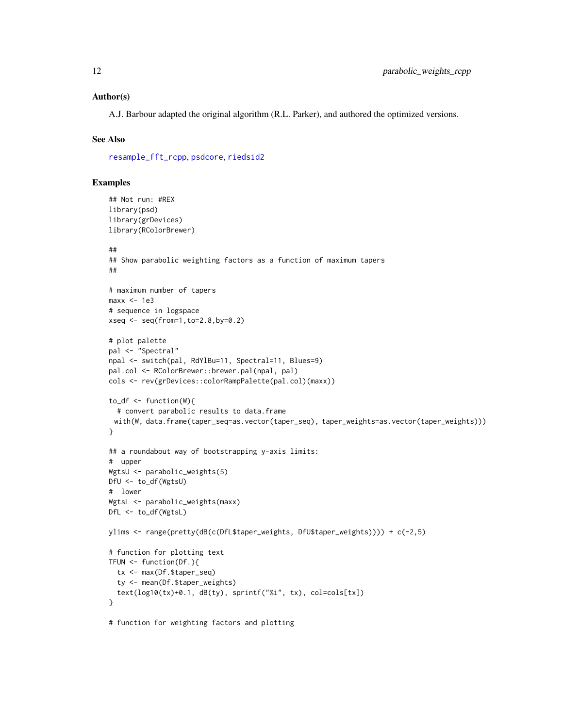#### <span id="page-11-0"></span>Author(s)

A.J. Barbour adapted the original algorithm (R.L. Parker), and authored the optimized versions.

# See Also

[resample\\_fft\\_rcpp](#page-33-1), [psdcore](#page-28-1), [riedsid2](#page-35-2)

```
## Not run: #REX
library(psd)
library(grDevices)
library(RColorBrewer)
##
## Show parabolic weighting factors as a function of maximum tapers
##
# maximum number of tapers
max < -1e3# sequence in logspace
xseq <- seq(from=1,to=2.8,by=0.2)
# plot palette
pal <- "Spectral"
npal <- switch(pal, RdYlBu=11, Spectral=11, Blues=9)
pal.col <- RColorBrewer::brewer.pal(npal, pal)
cols <- rev(grDevices::colorRampPalette(pal.col)(maxx))
to\_df \leq - function(W){
  # convert parabolic results to data.frame
 with(W, data.frame(taper_seq=as.vector(taper_seq), taper_weights=as.vector(taper_weights)))
}
## a roundabout way of bootstrapping y-axis limits:
# upper
WgtsU <- parabolic_weights(5)
DfU <- to_df(WgtsU)
# lower
WgtsL <- parabolic_weights(maxx)
DfL <- to_df(WgtsL)
ylims <- range(pretty(dB(c(DfL$taper_weights, DfU$taper_weights)))) + c(-2,5)
# function for plotting text
TFUN <- function(Df.){
  tx <- max(Df.$taper_seq)
  ty <- mean(Df.$taper_weights)
  text(log10(tx)+0.1, dB(ty), sprintf("%i", tx), col=cols[tx])
}
# function for weighting factors and plotting
```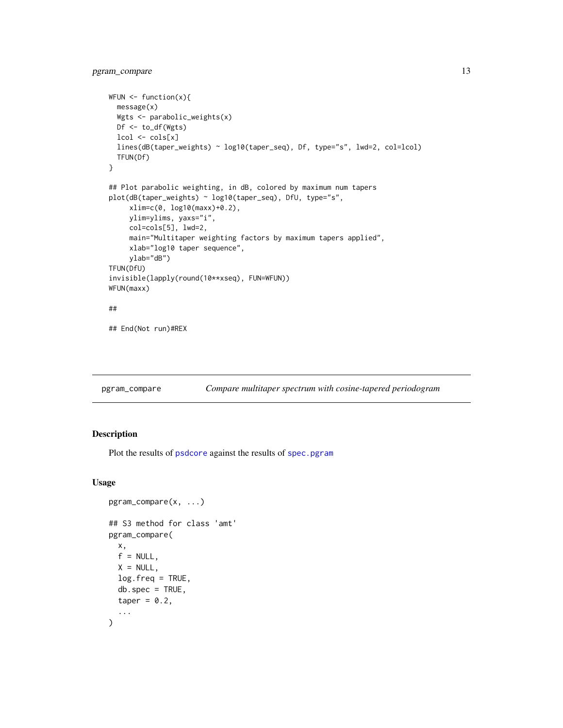```
WFUN \leq function(x){
  message(x)
  Wgts <- parabolic_weights(x)
  Df <- to_df(Wgts)
  lcol <- cols[x]
  lines(dB(taper_weights) ~ log10(taper_seq), Df, type="s", lwd=2, col=lcol)
  TFUN(Df)
}
## Plot parabolic weighting, in dB, colored by maximum num tapers
plot(dB(taper_weights) ~ log10(taper_seq), DfU, type="s",
     xlim=c(0, log10(maxx)+0.2),
     ylim=ylims, yaxs="i",
     col=cols[5], lwd=2,
     main="Multitaper weighting factors by maximum tapers applied",
     xlab="log10 taper sequence",
     ylab="dB")
TFUN(DfU)
invisible(lapply(round(10**xseq), FUN=WFUN))
WFUN(maxx)
##
## End(Not run)#REX
```
<span id="page-12-1"></span>pgram\_compare *Compare multitaper spectrum with cosine-tapered periodogram*

# Description

Plot the results of [psdcore](#page-28-1) against the results of [spec.pgram](#page-0-0)

#### Usage

```
pgram_compare(x, ...)
## S3 method for class 'amt'
pgram_compare(
  x,
  f = NULL,X = NULLlog.freq = TRUE,
  db.\text{spec} = \text{TRUE},
  taper = 0.2,
  ...
)
```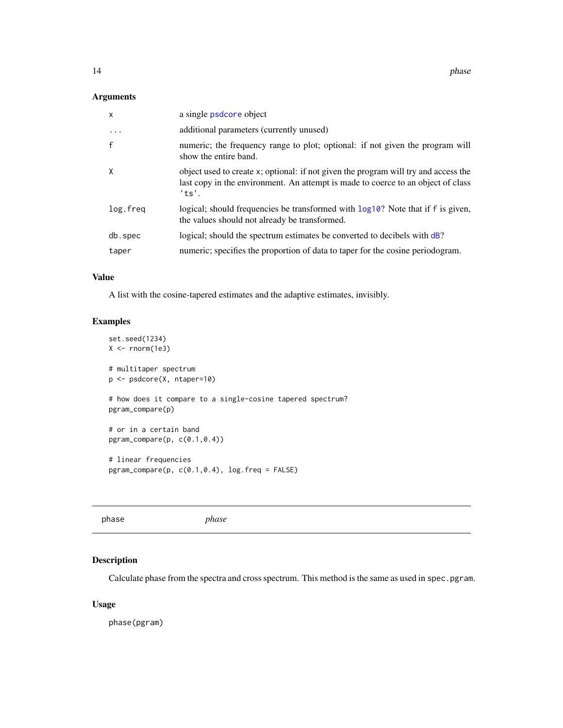# <span id="page-13-0"></span>Arguments

| X        | a single psdcore object                                                                                                                                                          |
|----------|----------------------------------------------------------------------------------------------------------------------------------------------------------------------------------|
| $\cdots$ | additional parameters (currently unused)                                                                                                                                         |
| f        | numeric; the frequency range to plot; optional: if not given the program will<br>show the entire band.                                                                           |
| X        | object used to create x; optional: if not given the program will try and access the<br>last copy in the environment. An attempt is made to coerce to an object of class<br>'ts'. |
| log.freg | logical; should frequencies be transformed with log10? Note that if f is given,<br>the values should not already be transformed.                                                 |
| db.spec  | logical; should the spectrum estimates be converted to decibels with dB?                                                                                                         |
| taper    | numeric; specifies the proportion of data to taper for the cosine periodogram.                                                                                                   |

# Value

A list with the cosine-tapered estimates and the adaptive estimates, invisibly.

# Examples

```
set.seed(1234)
X < - rnorm(1e3)
# multitaper spectrum
p <- psdcore(X, ntaper=10)
# how does it compare to a single-cosine tapered spectrum?
pgram_compare(p)
# or in a certain band
pgram_compare(p, c(0.1,0.4))
# linear frequencies
pgram_compare(p, c(0.1,0.4), log.freq = FALSE)
```

| phase | phase |
|-------|-------|

# Description

Calculate phase from the spectra and cross spectrum. This method is the same as used in spec.pgram.

#### Usage

phase(pgram)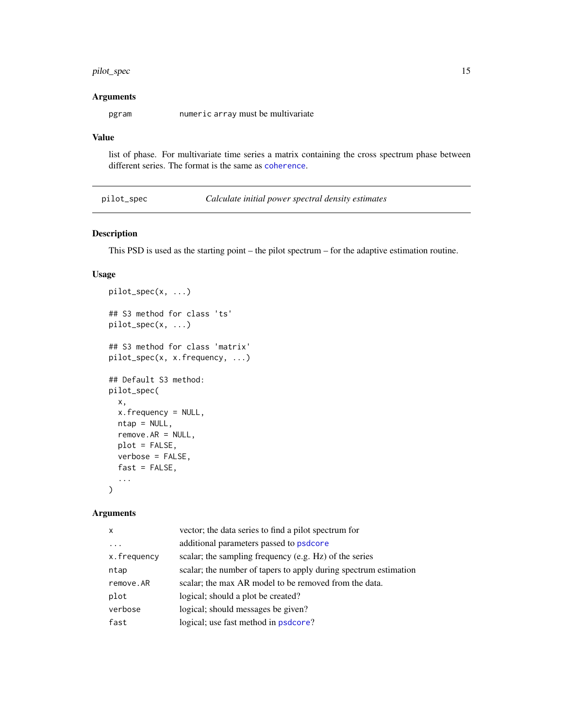# <span id="page-14-0"></span>pilot\_spec 15

# Arguments

pgram numeric array must be multivariate

# Value

list of phase. For multivariate time series a matrix containing the cross spectrum phase between different series. The format is the same as [coherence](#page-5-1).

<span id="page-14-1"></span>

|  |  |  | pilot_spec |  |  |
|--|--|--|------------|--|--|
|  |  |  |            |  |  |
|  |  |  |            |  |  |
|  |  |  |            |  |  |

pilot\_spec *Calculate initial power spectral density estimates*

# Description

This PSD is used as the starting point – the pilot spectrum – for the adaptive estimation routine.

#### Usage

```
pilot_spec(x, ...)
## S3 method for class 'ts'
pilot_spec(x, ...)
## S3 method for class 'matrix'
pilot_spec(x, x.frequency, ...)
## Default S3 method:
pilot_spec(
  x,
 x.frequency = NULL,
 ntap = NULL,remove.AR = NULL,
 plot = FALSE,
  verbose = FALSE,
  fast = FALSE,...
\mathcal{E}
```
#### Arguments

| $\boldsymbol{\mathsf{x}}$ | vector; the data series to find a pilot spectrum for             |
|---------------------------|------------------------------------------------------------------|
|                           | additional parameters passed to psdcore                          |
| x.frequency               | scalar; the sampling frequency (e.g. Hz) of the series           |
| ntap                      | scalar; the number of tapers to apply during spectrum estimation |
| remove.AR                 | scalar; the max AR model to be removed from the data.            |
| plot                      | logical; should a plot be created?                               |
| verbose                   | logical; should messages be given?                               |
| fast                      | logical; use fast method in psdcore?                             |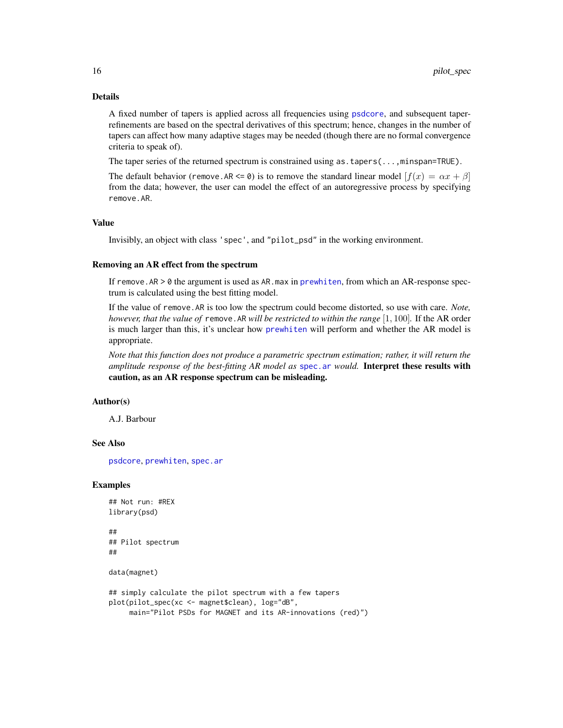# Details

A fixed number of tapers is applied across all frequencies using [psdcore](#page-28-1), and subsequent taperrefinements are based on the spectral derivatives of this spectrum; hence, changes in the number of tapers can affect how many adaptive stages may be needed (though there are no formal convergence criteria to speak of).

The taper series of the returned spectrum is constrained using as . tapers(...,minspan=TRUE).

The default behavior (remove.AR  $\leq 0$ ) is to remove the standard linear model  $[f(x) = \alpha x + \beta]$ from the data; however, the user can model the effect of an autoregressive process by specifying remove.AR.

# Value

Invisibly, an object with class 'spec', and "pilot\_psd" in the working environment.

#### Removing an AR effect from the spectrum

If remove. AR > 0 the argument is used as AR. max in [prewhiten](#page-16-1), from which an AR-response spectrum is calculated using the best fitting model.

If the value of remove.AR is too low the spectrum could become distorted, so use with care. *Note, however, that the value of* remove.AR *will be restricted to within the range* [1, 100]*.* If the AR order is much larger than this, it's unclear how [prewhiten](#page-16-1) will perform and whether the AR model is appropriate.

*Note that this function does not produce a parametric spectrum estimation; rather, it will return the amplitude response of the best-fitting AR model as* [spec.ar](#page-0-0) *would.* Interpret these results with caution, as an AR response spectrum can be misleading.

# Author(s)

A.J. Barbour

#### See Also

[psdcore](#page-28-1), [prewhiten](#page-16-1), [spec.ar](#page-0-0)

#### Examples

```
## Not run: #REX
library(psd)
##
## Pilot spectrum
##
```
data(magnet)

```
## simply calculate the pilot spectrum with a few tapers
plot(pilot_spec(xc <- magnet$clean), log="dB",
    main="Pilot PSDs for MAGNET and its AR-innovations (red)")
```
<span id="page-15-0"></span>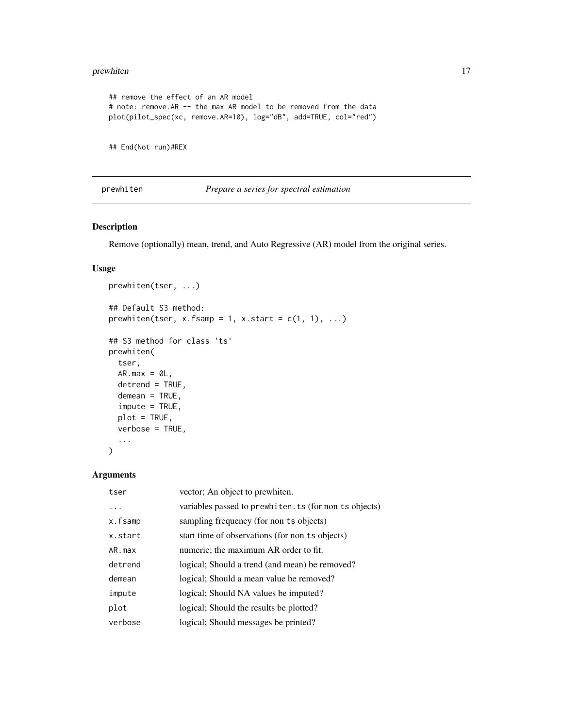#### <span id="page-16-0"></span>prewhiten the contract of the contract of the contract of the contract of the contract of the contract of the contract of the contract of the contract of the contract of the contract of the contract of the contract of the

```
## remove the effect of an AR model
# note: remove.AR -- the max AR model to be removed from the data
plot(pilot_spec(xc, remove.AR=10), log="dB", add=TRUE, col="red")
```
## End(Not run)#REX

#### <span id="page-16-1"></span>prewhiten *Prepare a series for spectral estimation*

# Description

Remove (optionally) mean, trend, and Auto Regressive (AR) model from the original series.

# Usage

```
prewhiten(tser, ...)
## Default S3 method:
prewhiten(tser, x.fsamp = 1, x.start = c(1, 1), ...)
## S3 method for class 'ts'
prewhiten(
  tser,
 AR.max = 0L,
 detrend = TRUE,
 demean = TRUE,
  impute = TRUE,
 plot = TRUE,
  verbose = TRUE,
  ...
\mathcal{E}
```
#### Arguments

| tser    | vector; An object to prewhiten.                        |
|---------|--------------------------------------------------------|
| .       | variables passed to prewhiten. ts (for non ts objects) |
| x.fsamp | sampling frequency (for non ts objects)                |
| x.start | start time of observations (for non ts objects)        |
| AR.max  | numeric; the maximum AR order to fit.                  |
| detrend | logical; Should a trend (and mean) be removed?         |
| demean  | logical; Should a mean value be removed?               |
| impute  | logical; Should NA values be imputed?                  |
| plot    | logical; Should the results be plotted?                |
| verbose | logical; Should messages be printed?                   |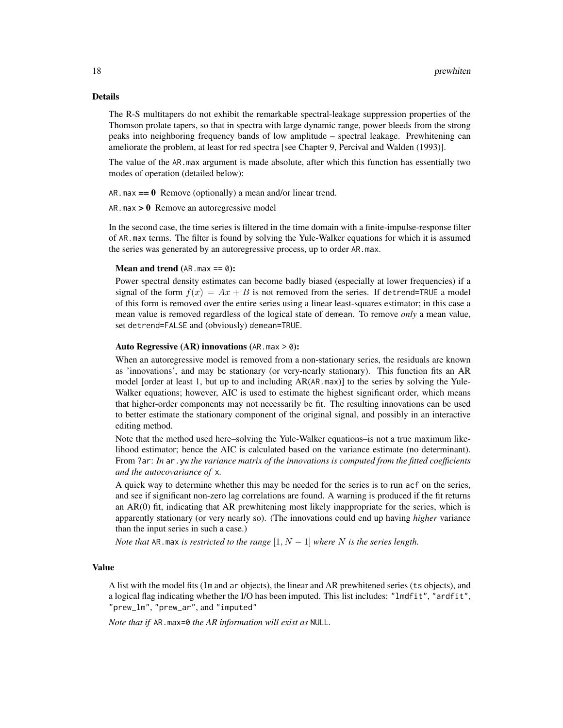#### Details

The R-S multitapers do not exhibit the remarkable spectral-leakage suppression properties of the Thomson prolate tapers, so that in spectra with large dynamic range, power bleeds from the strong peaks into neighboring frequency bands of low amplitude – spectral leakage. Prewhitening can ameliorate the problem, at least for red spectra [see Chapter 9, Percival and Walden (1993)].

The value of the AR.max argument is made absolute, after which this function has essentially two modes of operation (detailed below):

AR. max  $== 0$  Remove (optionally) a mean and/or linear trend.

 $AR.max > 0$  Remove an autoregressive model

In the second case, the time series is filtered in the time domain with a finite-impulse-response filter of AR.max terms. The filter is found by solving the Yule-Walker equations for which it is assumed the series was generated by an autoregressive process, up to order AR.max.

#### **Mean and trend** (AR. max  $== 0$ ):

Power spectral density estimates can become badly biased (especially at lower frequencies) if a signal of the form  $f(x) = Ax + B$  is not removed from the series. If detrend=TRUE a model of this form is removed over the entire series using a linear least-squares estimator; in this case a mean value is removed regardless of the logical state of demean. To remove *only* a mean value, set detrend=FALSE and (obviously) demean=TRUE.

#### Auto Regressive (AR) innovations (AR. max  $>$  0):

When an autoregressive model is removed from a non-stationary series, the residuals are known as 'innovations', and may be stationary (or very-nearly stationary). This function fits an AR model [order at least 1, but up to and including AR(AR.max)] to the series by solving the Yule-Walker equations; however, AIC is used to estimate the highest significant order, which means that higher-order components may not necessarily be fit. The resulting innovations can be used to better estimate the stationary component of the original signal, and possibly in an interactive editing method.

Note that the method used here–solving the Yule-Walker equations–is not a true maximum likelihood estimator; hence the AIC is calculated based on the variance estimate (no determinant). From ?ar: *In* ar . yw *the variance matrix of the innovations is computed from the fitted coefficients and the autocovariance of* x*.*

A quick way to determine whether this may be needed for the series is to run acf on the series, and see if significant non-zero lag correlations are found. A warning is produced if the fit returns an AR(0) fit, indicating that AR prewhitening most likely inappropriate for the series, which is apparently stationary (or very nearly so). (The innovations could end up having *higher* variance than the input series in such a case.)

*Note that* AR.max *is restricted to the range*  $[1, N - 1]$  *where* N *is the series length.* 

#### Value

A list with the model fits (lm and ar objects), the linear and AR prewhitened series (ts objects), and a logical flag indicating whether the I/O has been imputed. This list includes: "lmdfit", "ardfit", "prew\_lm", "prew\_ar", and "imputed"

*Note that if* AR.max=0 *the AR information will exist as* NULL*.*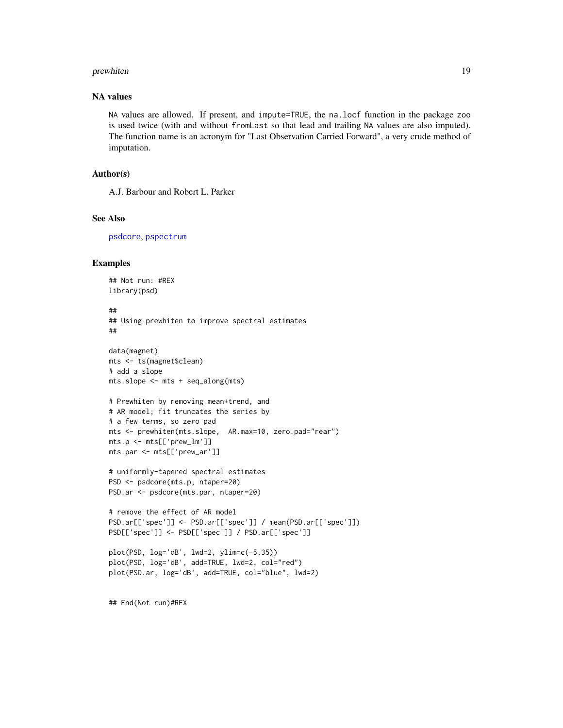#### <span id="page-18-0"></span>prewhiten the contract of the contract of the contract of the contract of the contract of the contract of the contract of the contract of the contract of the contract of the contract of the contract of the contract of the

# NA values

NA values are allowed. If present, and impute=TRUE, the na.locf function in the package zoo is used twice (with and without fromLast so that lead and trailing NA values are also imputed). The function name is an acronym for "Last Observation Carried Forward", a very crude method of imputation.

#### Author(s)

A.J. Barbour and Robert L. Parker

#### See Also

[psdcore](#page-28-1), [pspectrum](#page-30-1)

# Examples

```
## Not run: #REX
library(psd)
##
## Using prewhiten to improve spectral estimates
##
data(magnet)
mts <- ts(magnet$clean)
# add a slope
mts.slope <- mts + seq_along(mts)
# Prewhiten by removing mean+trend, and
# AR model; fit truncates the series by
# a few terms, so zero pad
mts <- prewhiten(mts.slope, AR.max=10, zero.pad="rear")
mts.p <- mts[['prew_lm']]
mts.par <- mts[['prew_ar']]
# uniformly-tapered spectral estimates
PSD <- psdcore(mts.p, ntaper=20)
PSD.ar <- psdcore(mts.par, ntaper=20)
# remove the effect of AR model
PSD.ar[['spec']] <- PSD.ar[['spec']] / mean(PSD.ar[['spec']])
PSD[['spec']] <- PSD[['spec']] / PSD.ar[['spec']]
plot(PSD, log='dB', lwd=2, ylim=c(-5,35))
plot(PSD, log='dB', add=TRUE, lwd=2, col="red")
plot(PSD.ar, log='dB', add=TRUE, col="blue", lwd=2)
```
## End(Not run)#REX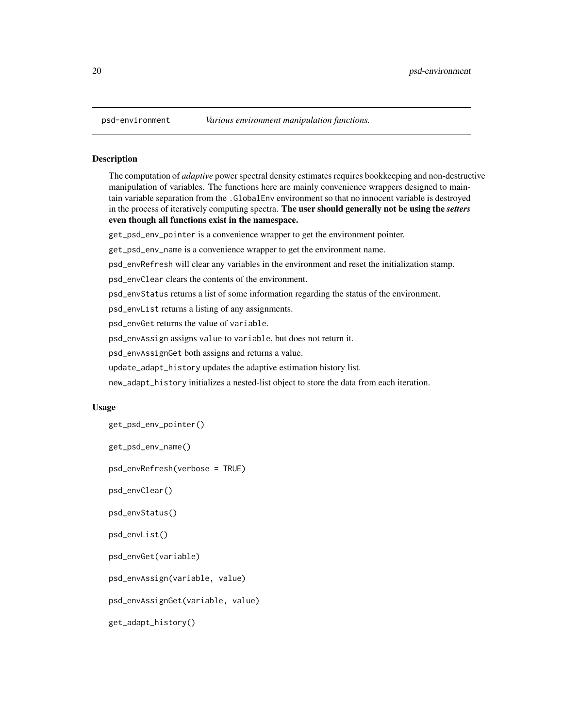The computation of *adaptive* power spectral density estimates requires bookkeeping and non-destructive manipulation of variables. The functions here are mainly convenience wrappers designed to maintain variable separation from the .GlobalEnv environment so that no innocent variable is destroyed in the process of iteratively computing spectra. The user should generally not be using the *setters* even though all functions exist in the namespace.

get\_psd\_env\_pointer is a convenience wrapper to get the environment pointer.

get\_psd\_env\_name is a convenience wrapper to get the environment name.

psd\_envRefresh will clear any variables in the environment and reset the initialization stamp.

psd\_envClear clears the contents of the environment.

psd\_envStatus returns a list of some information regarding the status of the environment.

psd\_envList returns a listing of any assignments.

psd\_envGet returns the value of variable.

psd\_envAssign assigns value to variable, but does not return it.

psd\_envAssignGet both assigns and returns a value.

update\_adapt\_history updates the adaptive estimation history list.

new\_adapt\_history initializes a nested-list object to store the data from each iteration.

#### Usage

```
get_psd_env_pointer()
```

```
get_psd_env_name()
```
psd\_envRefresh(verbose = TRUE)

psd\_envClear()

psd\_envStatus()

```
psd_envList()
```
psd\_envGet(variable)

```
psd_envAssign(variable, value)
```
psd\_envAssignGet(variable, value)

```
get_adapt_history()
```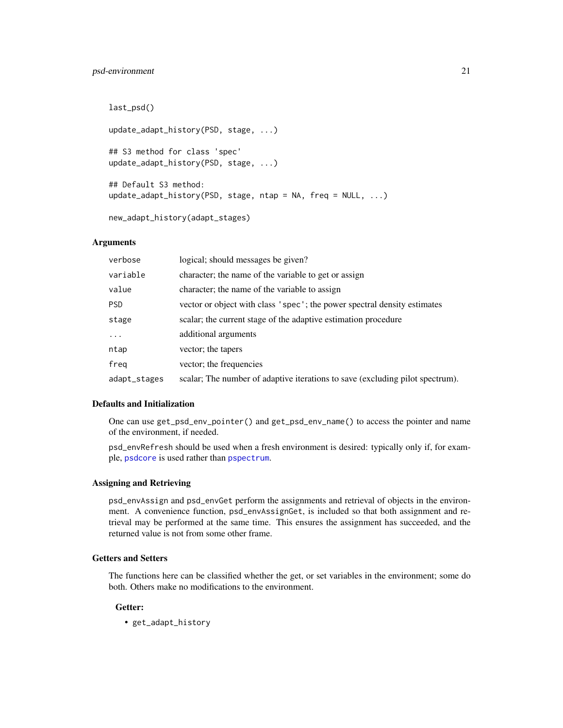# <span id="page-20-0"></span>psd-environment 21

last\_psd() update\_adapt\_history(PSD, stage, ...) ## S3 method for class 'spec' update\_adapt\_history(PSD, stage, ...) ## Default S3 method: update\_adapt\_history(PSD, stage, ntap = NA, freq = NULL, ...)

new\_adapt\_history(adapt\_stages)

# Arguments

| verbose      | logical; should messages be given?                                            |
|--------------|-------------------------------------------------------------------------------|
| variable     | character; the name of the variable to get or assign                          |
| value        | character; the name of the variable to assign                                 |
| <b>PSD</b>   | vector or object with class 'spec'; the power spectral density estimates      |
| stage        | scalar; the current stage of the adaptive estimation procedure                |
| $\ddotsc$    | additional arguments                                                          |
| ntap         | vector; the tapers                                                            |
| freg         | vector; the frequencies                                                       |
| adapt_stages | scalar; The number of adaptive iterations to save (excluding pilot spectrum). |

# Defaults and Initialization

One can use get\_psd\_env\_pointer() and get\_psd\_env\_name() to access the pointer and name of the environment, if needed.

psd\_envRefresh should be used when a fresh environment is desired: typically only if, for example, [psdcore](#page-28-1) is used rather than [pspectrum](#page-30-1).

# Assigning and Retrieving

psd\_envAssign and psd\_envGet perform the assignments and retrieval of objects in the environment. A convenience function, psd\_envAssignGet, is included so that both assignment and retrieval may be performed at the same time. This ensures the assignment has succeeded, and the returned value is not from some other frame.

#### Getters and Setters

The functions here can be classified whether the get, or set variables in the environment; some do both. Others make no modifications to the environment.

# Getter:

• get\_adapt\_history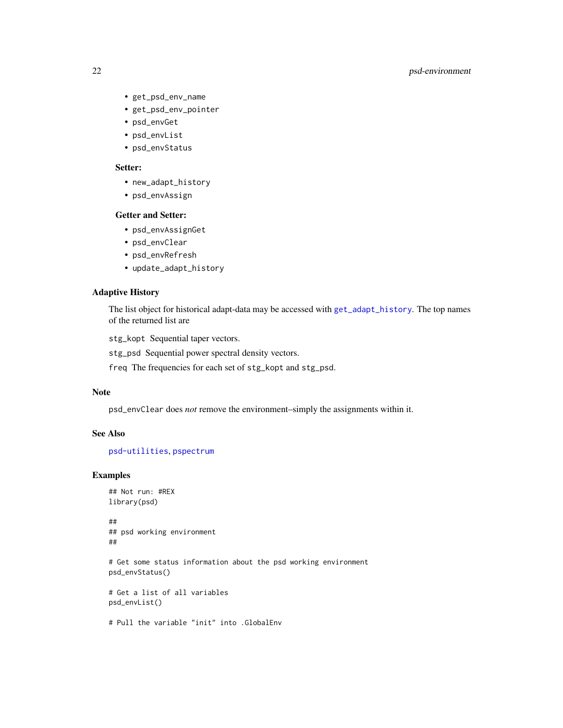# <span id="page-21-0"></span>22 psd-environment

- get\_psd\_env\_name
- get\_psd\_env\_pointer
- psd\_envGet
- psd\_envList
- psd\_envStatus

# Setter:

- new\_adapt\_history
- psd\_envAssign

# Getter and Setter:

- psd\_envAssignGet
- psd\_envClear
- psd\_envRefresh
- update\_adapt\_history

#### Adaptive History

The list object for historical adapt-data may be accessed with [get\\_adapt\\_history](#page-19-2). The top names of the returned list are

stg\_kopt Sequential taper vectors.

stg\_psd Sequential power spectral density vectors.

freq The frequencies for each set of stg\_kopt and stg\_psd.

# Note

psd\_envClear does *not* remove the environment–simply the assignments within it.

# See Also

[psd-utilities](#page-24-2), [pspectrum](#page-30-1)

#### Examples

```
## Not run: #REX
library(psd)
```
## ## psd working environment ##

# Get some status information about the psd working environment psd\_envStatus()

# Get a list of all variables psd\_envList()

# Pull the variable "init" into .GlobalEnv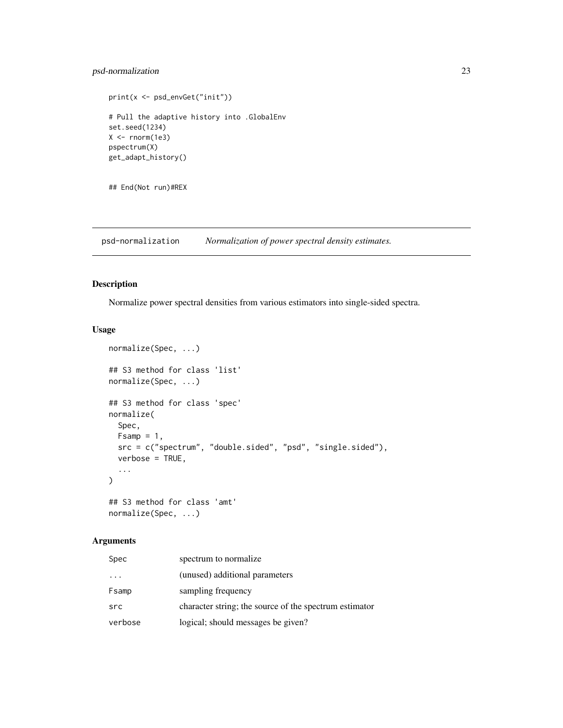# <span id="page-22-0"></span>psd-normalization 23

```
print(x <- psd_envGet("init"))
# Pull the adaptive history into .GlobalEnv
set.seed(1234)
X < - rnorm(1e3)
pspectrum(X)
get_adapt_history()
```
## End(Not run)#REX

psd-normalization *Normalization of power spectral density estimates.*

# Description

Normalize power spectral densities from various estimators into single-sided spectra.

#### Usage

```
normalize(Spec, ...)
## S3 method for class 'list'
normalize(Spec, ...)
## S3 method for class 'spec'
normalize(
  Spec,
 Fsamp = 1,
 src = c("spectrum", "double.sided", "psd", "single.sided"),
  verbose = TRUE,
  ...
)
## S3 method for class 'amt'
```

```
normalize(Spec, ...)
```
# Arguments

| Spec    | spectrum to normalize                                  |
|---------|--------------------------------------------------------|
| .       | (unused) additional parameters                         |
| Fsamp   | sampling frequency                                     |
| src     | character string; the source of the spectrum estimator |
| verbose | logical; should messages be given?                     |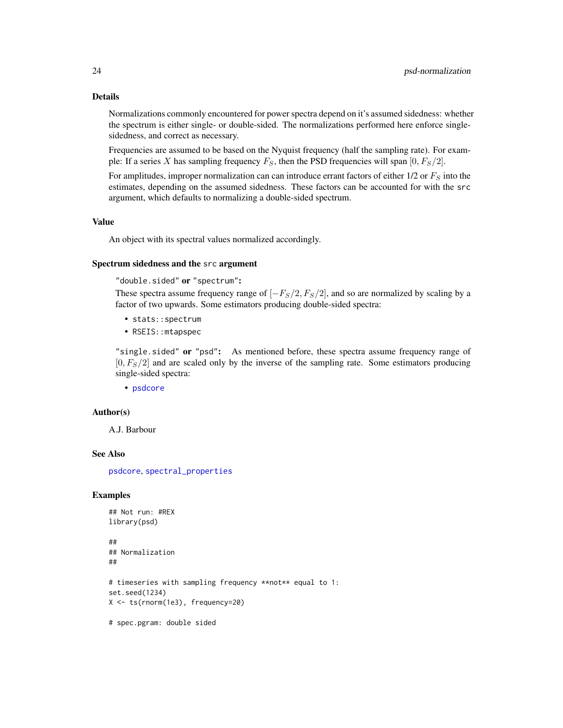#### Details

Normalizations commonly encountered for power spectra depend on it's assumed sidedness: whether the spectrum is either single- or double-sided. The normalizations performed here enforce singlesidedness, and correct as necessary.

Frequencies are assumed to be based on the Nyquist frequency (half the sampling rate). For example: If a series X has sampling frequency  $F_S$ , then the PSD frequencies will span  $[0, F_S/2]$ .

For amplitudes, improper normalization can can introduce errant factors of either  $1/2$  or  $F_S$  into the estimates, depending on the assumed sidedness. These factors can be accounted for with the src argument, which defaults to normalizing a double-sided spectrum.

# Value

An object with its spectral values normalized accordingly.

#### Spectrum sidedness and the src argument

"double.sided" or "spectrum":

These spectra assume frequency range of  $[-F<sub>S</sub>/2, F<sub>S</sub>/2]$ , and so are normalized by scaling by a factor of two upwards. Some estimators producing double-sided spectra:

- stats::spectrum
- RSEIS::mtapspec

"single.sided" or "psd": As mentioned before, these spectra assume frequency range of  $[0, F<sub>S</sub>/2]$  and are scaled only by the inverse of the sampling rate. Some estimators producing single-sided spectra:

• [psdcore](#page-28-1)

#### Author(s)

A.J. Barbour

#### See Also

[psdcore](#page-28-1), [spectral\\_properties](#page-40-1)

#### Examples

## Not run: #REX library(psd)

```
##
## Normalization
##
# timeseries with sampling frequency **not** equal to 1:
set.seed(1234)
X <- ts(rnorm(1e3), frequency=20)
```
# spec.pgram: double sided

<span id="page-23-0"></span>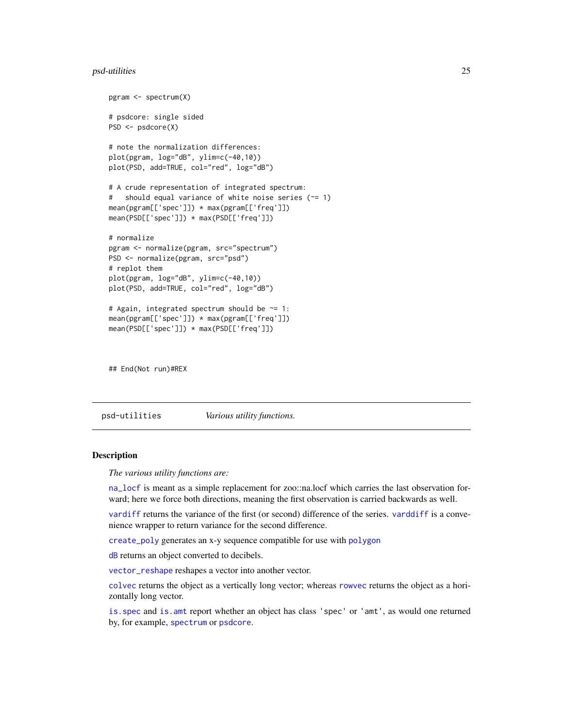# <span id="page-24-0"></span>psd-utilities 25

```
pgram <- spectrum(X)
# psdcore: single sided
PSD <- psdcore(X)
# note the normalization differences:
plot(pgram, log="dB", ylim=c(-40,10))
plot(PSD, add=TRUE, col="red", log="dB")
# A crude representation of integrated spectrum:
# should equal variance of white noise series (~= 1)
mean(pgram[['spec']]) * max(pgram[['freq']])
mean(PSD[['spec']]) * max(PSD[['freq']])
# normalize
pgram <- normalize(pgram, src="spectrum")
PSD <- normalize(pgram, src="psd")
# replot them
plot(pgram, log="dB", ylim=c(-40,10))
plot(PSD, add=TRUE, col="red", log="dB")
# Again, integrated spectrum should be ~= 1:
mean(pgram[['spec']]) * max(pgram[['freq']])
mean(PSD[['spec']]) * max(PSD[['freq']])
```
## End(Not run)#REX

<span id="page-24-2"></span>psd-utilities *Various utility functions.*

#### <span id="page-24-1"></span>Description

*The various utility functions are:*

[na\\_locf](#page-24-1) is meant as a simple replacement for zoo::na.locf which carries the last observation forward; here we force both directions, meaning the first observation is carried backwards as well.

[vardiff](#page-24-1) returns the variance of the first (or second) difference of the series. [varddiff](#page-24-1) is a convenience wrapper to return variance for the second difference.

[create\\_poly](#page-24-1) generates an x-y sequence compatible for use with [polygon](#page-0-0)

[dB](#page-24-1) returns an object converted to decibels.

[vector\\_reshape](#page-24-1) reshapes a vector into another vector.

[colvec](#page-24-1) returns the object as a vertically long vector; whereas [rowvec](#page-24-1) returns the object as a horizontally long vector.

[is.spec](#page-24-1) and [is.amt](#page-24-1) report whether an object has class 'spec' or 'amt', as would one returned by, for example, [spectrum](#page-0-0) or [psdcore](#page-28-1).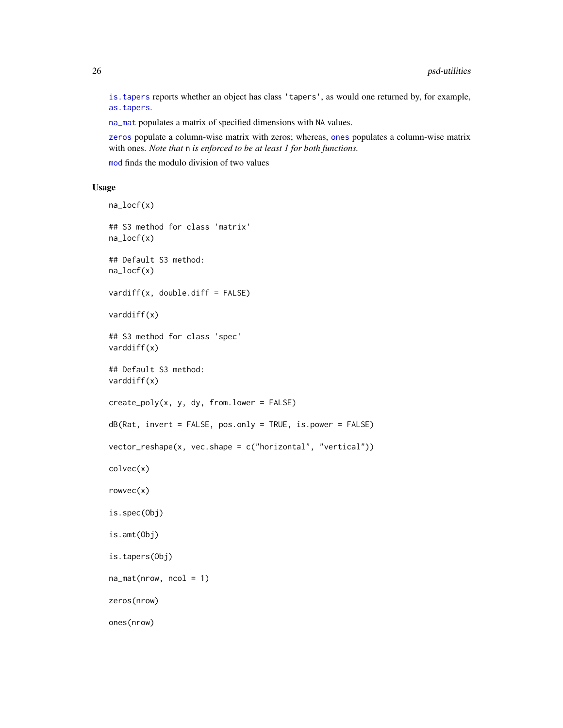[is.tapers](#page-24-1) reports whether an object has class 'tapers', as would one returned by, for example, [as.tapers](#page-3-1).

[na\\_mat](#page-24-1) populates a matrix of specified dimensions with NA values.

[zeros](#page-24-1) populate a column-wise matrix with zeros; whereas, [ones](#page-24-1) populates a column-wise matrix with ones. *Note that* n *is enforced to be at least 1 for both functions.*

[mod](#page-24-1) finds the modulo division of two values

# Usage

```
na_locf(x)
## S3 method for class 'matrix'
na_locf(x)
## Default S3 method:
na_locf(x)
vardiff(x, double.diff = FALSE)
varddiff(x)
## S3 method for class 'spec'
varddiff(x)
## Default S3 method:
varddiff(x)
create_poly(x, y, dy, from.lower = FALSE)
dB(Rat, invert = FALSE, pos.only = TRUE, is.power = FALSE)
vector_reshape(x, vec.shape = c("horizontal", "vertical"))
colvec(x)
rowvec(x)
is.spec(Obj)
is.amt(Obj)
is.tapers(Obj)
na_matrix(nrow, ncol = 1)zeros(nrow)
ones(nrow)
```
<span id="page-25-0"></span>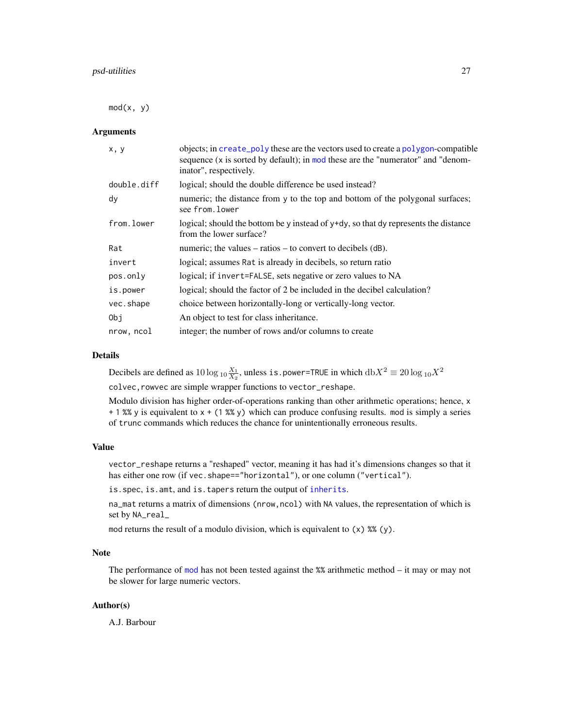<span id="page-26-0"></span> $mod(x, y)$ 

# Arguments

| x, y        | objects; in create_poly these are the vectors used to create a polygon-compatible<br>sequence (x is sorted by default); in mod these are the "numerator" and "denom-<br>inator", respectively. |
|-------------|------------------------------------------------------------------------------------------------------------------------------------------------------------------------------------------------|
| double.diff | logical; should the double difference be used instead?                                                                                                                                         |
| dy          | numeric; the distance from y to the top and bottom of the polygonal surfaces;<br>see from.lower                                                                                                |
| from.lower  | logical; should the bottom be y instead of $y+dy$ , so that dy represents the distance<br>from the lower surface?                                                                              |
| Rat         | numeric; the values $-$ ratios $-$ to convert to decibels (dB).                                                                                                                                |
| invert      | logical; assumes Rat is already in decibels, so return ratio                                                                                                                                   |
| pos.only    | logical; if invert=FALSE, sets negative or zero values to NA                                                                                                                                   |
| is.power    | logical; should the factor of 2 be included in the decibel calculation?                                                                                                                        |
| vec.shape   | choice between horizontally-long or vertically-long vector.                                                                                                                                    |
| Obi         | An object to test for class inheritance.                                                                                                                                                       |
| nrow, ncol  | integer; the number of rows and/or columns to create                                                                                                                                           |

### Details

Decibels are defined as  $10\log_{10}\frac{X_1}{X_2}$ , unless is.power=TRUE in which  $\mathrm{db}X^2 \equiv 20\log_{10}X^2$ colvec,rowvec are simple wrapper functions to vector\_reshape.

Modulo division has higher order-of-operations ranking than other arithmetic operations; hence, x  $+ 1$  %% y is equivalent to  $x + (1$  %% y) which can produce confusing results. mod is simply a series of trunc commands which reduces the chance for unintentionally erroneous results.

# Value

vector\_reshape returns a "reshaped" vector, meaning it has had it's dimensions changes so that it has either one row (if vec. shape=="horizontal"), or one column ("vertical").

is.spec, is.amt, and is.tapers return the output of [inherits](#page-0-0).

na\_mat returns a matrix of dimensions (nrow,ncol) with NA values, the representation of which is set by NA\_real\_

mod returns the result of a modulo division, which is equivalent to  $(x)$  %%  $(y)$ .

#### Note

The performance of [mod](#page-24-1) has not been tested against the %% arithmetic method – it may or may not be slower for large numeric vectors.

### Author(s)

A.J. Barbour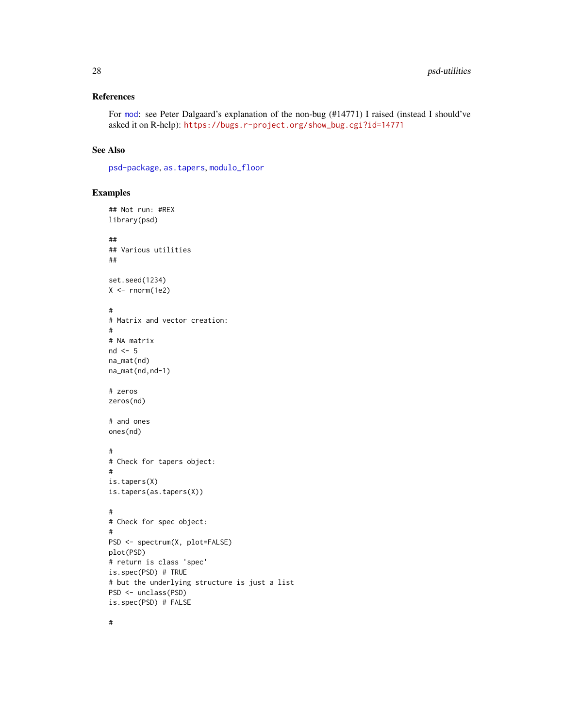# <span id="page-27-0"></span>References

For [mod](#page-24-1): see Peter Dalgaard's explanation of the non-bug (#14771) I raised (instead I should've asked it on R-help): [https://bugs.r-project.org/show\\_bug.cgi?id=14771](https://bugs.r-project.org/show_bug.cgi?id=14771)

#### See Also

[psd-package](#page-2-1), [as.tapers](#page-3-1), [modulo\\_floor](#page-9-1)

# Examples

## Not run: #REX

```
library(psd)
##
## Various utilities
##
set.seed(1234)
X \leftarrow \text{norm}(1e2)#
# Matrix and vector creation:
#
# NA matrix
nd \leq -5na_mat(nd)
na_mat(nd,nd-1)
# zeros
zeros(nd)
# and ones
ones(nd)
#
# Check for tapers object:
#
is.tapers(X)
is.tapers(as.tapers(X))
#
# Check for spec object:
#
PSD <- spectrum(X, plot=FALSE)
plot(PSD)
# return is class 'spec'
is.spec(PSD) # TRUE
# but the underlying structure is just a list
PSD <- unclass(PSD)
is.spec(PSD) # FALSE
```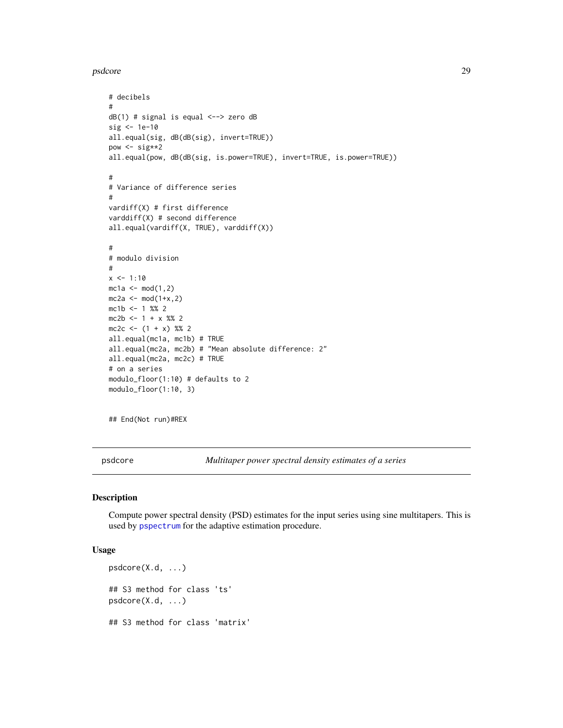```
psdcore that the contract of the contract of the contract of the contract of the contract of the contract of the contract of the contract of the contract of the contract of the contract of the contract of the contract of t
```

```
# decibels
#
dB(1) # signal is equal <--> zero dB
sig <- 1e-10
all.equal(sig, dB(dB(sig), invert=TRUE))
pow <- sig**2
all.equal(pow, dB(dB(sig, is.power=TRUE), invert=TRUE, is.power=TRUE))
#
# Variance of difference series
#
vardiff(X) # first difference
varddiff(X) # second difference
all.equal(vardiff(X, TRUE), varddiff(X))
#
# modulo division
#
x \le -1:10mc1a < -mod(1,2)mc2a \leftarrow mod(1+x,2)mc1b \leq 1 %% 2
mc2b \le -1 + x % 2mc2c \leftarrow (1 + x) % 2all.equal(mc1a, mc1b) # TRUE
all.equal(mc2a, mc2b) # "Mean absolute difference: 2"
all.equal(mc2a, mc2c) # TRUE
# on a series
modulo_floor(1:10) # defaults to 2
modulo_floor(1:10, 3)
```
## End(Not run)#REX

<span id="page-28-1"></span>psdcore *Multitaper power spectral density estimates of a series*

#### Description

Compute power spectral density (PSD) estimates for the input series using sine multitapers. This is used by [pspectrum](#page-30-1) for the adaptive estimation procedure.

# Usage

```
psdcore(X.d, ...)
## S3 method for class 'ts'
psdcore(X.d, ...)
## S3 method for class 'matrix'
```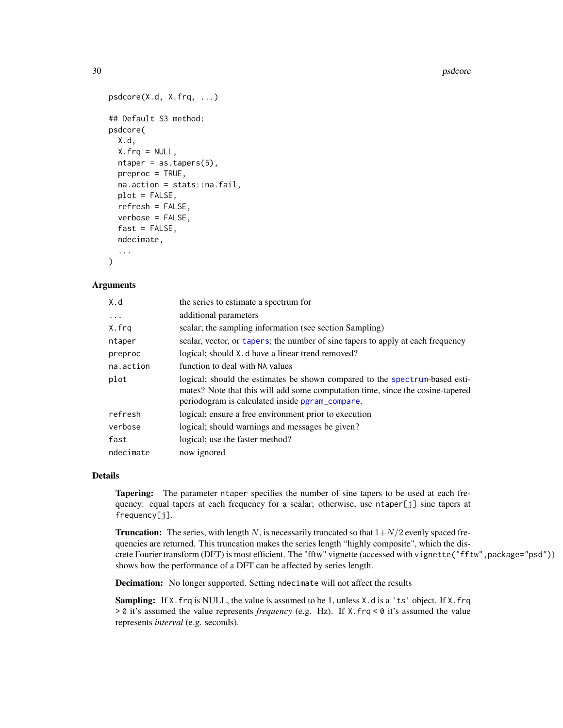```
psdcore(X.d, X.frq, ...)
## Default S3 method:
psdcore(
 X.d,
 X.frq = NULL,
 ntaper = as.tapers(5),
 preproc = TRUE,na.action = stats::na.fail,
 plot = FALSE,
 refresh = FALSE,
  verbose = FALSE,
  fast = FALSE,ndecimate,
  ...
)
```
#### Arguments

| X.d       | the series to estimate a spectrum for                                                                                                                                                                            |
|-----------|------------------------------------------------------------------------------------------------------------------------------------------------------------------------------------------------------------------|
| $\cdots$  | additional parameters                                                                                                                                                                                            |
| X.frq     | scalar; the sampling information (see section Sampling)                                                                                                                                                          |
| ntaper    | scalar, vector, or tapers; the number of sine tapers to apply at each frequency                                                                                                                                  |
| preproc   | logical; should X.d have a linear trend removed?                                                                                                                                                                 |
| na.action | function to deal with NA values                                                                                                                                                                                  |
| plot      | logical; should the estimates be shown compared to the spectrum-based esti-<br>mates? Note that this will add some computation time, since the cosine-tapered<br>periodogram is calculated inside pgram_compare. |
| refresh   | logical; ensure a free environment prior to execution                                                                                                                                                            |
| verbose   | logical; should warnings and messages be given?                                                                                                                                                                  |
| fast      | logical; use the faster method?                                                                                                                                                                                  |
| ndecimate | now ignored                                                                                                                                                                                                      |

# Details

Tapering: The parameter ntaper specifies the number of sine tapers to be used at each frequency: equal tapers at each frequency for a scalar; otherwise, use ntaper[j] sine tapers at frequency[j].

**Truncation:** The series, with length N, is necessarily truncated so that  $1+N/2$  evenly spaced frequencies are returned. This truncation makes the series length "highly composite", which the discrete Fourier transform (DFT) is most efficient. The "fftw" vignette (accessed with vignette("fftw",package="psd")) shows how the performance of a DFT can be affected by series length.

Decimation: No longer supported. Setting ndecimate will not affect the results

Sampling: If X.frq is NULL, the value is assumed to be 1, unless X.d is a 'ts' object. If X.frq > 0 it's assumed the value represents *frequency* (e.g. Hz). If X.frq < 0 it's assumed the value represents *interval* (e.g. seconds).

<span id="page-29-0"></span>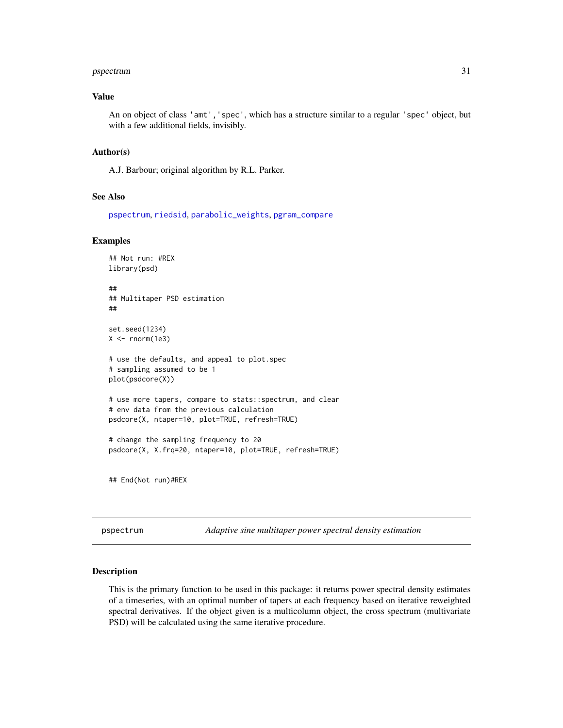# <span id="page-30-0"></span>pspectrum 31

#### Value

An on object of class 'amt','spec', which has a structure similar to a regular 'spec' object, but with a few additional fields, invisibly.

#### Author(s)

A.J. Barbour; original algorithm by R.L. Parker.

#### See Also

[pspectrum](#page-30-1), [riedsid](#page-35-1), [parabolic\\_weights](#page-10-2), [pgram\\_compare](#page-12-1)

#### Examples

```
## Not run: #REX
library(psd)
##
## Multitaper PSD estimation
##
set.seed(1234)
X \leftarrow \text{norm}(1e3)# use the defaults, and appeal to plot.spec
# sampling assumed to be 1
plot(psdcore(X))
# use more tapers, compare to stats::spectrum, and clear
# env data from the previous calculation
psdcore(X, ntaper=10, plot=TRUE, refresh=TRUE)
# change the sampling frequency to 20
psdcore(X, X.frq=20, ntaper=10, plot=TRUE, refresh=TRUE)
## End(Not run)#REX
```
<span id="page-30-1"></span>pspectrum *Adaptive sine multitaper power spectral density estimation*

#### <span id="page-30-2"></span>Description

This is the primary function to be used in this package: it returns power spectral density estimates of a timeseries, with an optimal number of tapers at each frequency based on iterative reweighted spectral derivatives. If the object given is a multicolumn object, the cross spectrum (multivariate PSD) will be calculated using the same iterative procedure.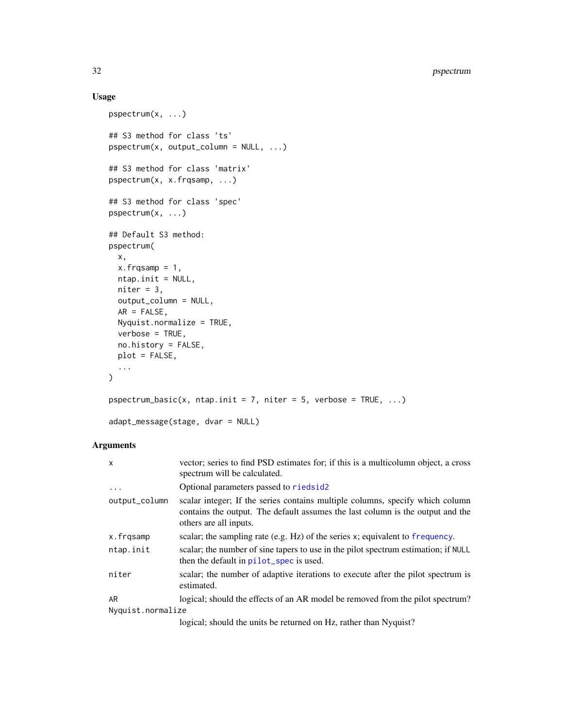# <span id="page-31-0"></span>Usage

```
pspectrum(x, ...)
## S3 method for class 'ts'
pspectrum(x, output_column = NULL, ...)
## S3 method for class 'matrix'
pspectrum(x, x.frqsamp, ...)
## S3 method for class 'spec'
pspectrum(x, ...)
## Default S3 method:
pspectrum(
 x,
 x.frqsamp = 1,
 ntap.init = NULL,
 niter = 3,
 output_column = NULL,
 AR = FALSE,Nyquist.normalize = TRUE,
 verbose = TRUE,
 no.history = FALSE,
 plot = FALSE,
  ...
\mathcal{L}pspectrum_basic(x, ntap.init = 7, niter = 5, verbose = TRUE, \dots)
adapt_message(stage, dvar = NULL)
```
# Arguments

| $\mathsf{x}$      | vector; series to find PSD estimates for; if this is a multicolumn object, a cross<br>spectrum will be calculated.                                                                        |
|-------------------|-------------------------------------------------------------------------------------------------------------------------------------------------------------------------------------------|
| $\cdot$           | Optional parameters passed to riedsid2                                                                                                                                                    |
| output_column     | scalar integer; If the series contains multiple columns, specify which column<br>contains the output. The default assumes the last column is the output and the<br>others are all inputs. |
| x.frqsamp         | scalar; the sampling rate (e.g. $Hz$ ) of the series x; equivalent to frequency.                                                                                                          |
| ntap.init         | scalar; the number of sine tapers to use in the pilot spectrum estimation; if NULL<br>then the default in pilot_spec is used.                                                             |
| niter             | scalar; the number of adaptive iterations to execute after the pilot spectrum is<br>estimated.                                                                                            |
| AR                | logical; should the effects of an AR model be removed from the pilot spectrum?                                                                                                            |
| Nyquist.normalize |                                                                                                                                                                                           |
|                   | logical: should the units be returned on Hz, rather than Nyquist?                                                                                                                         |

logical; should the units be returned on Hz, rather than Nyquist?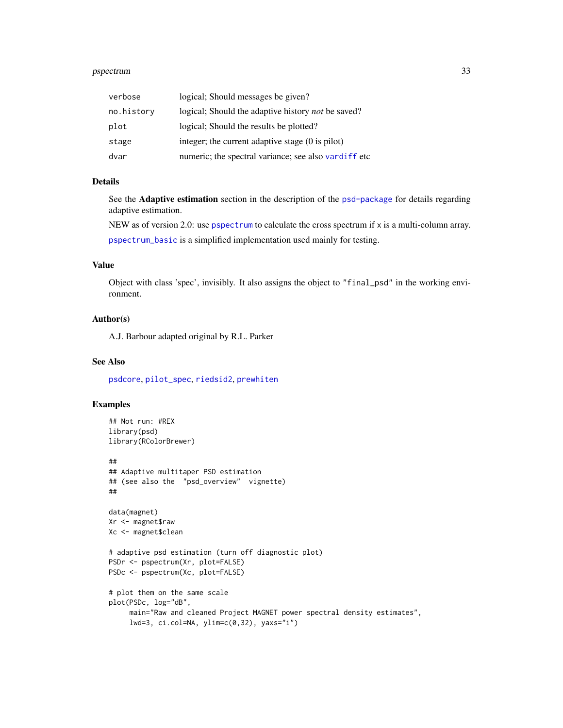# <span id="page-32-0"></span>pspectrum 33

| verbose    | logical; Should messages be given?                         |
|------------|------------------------------------------------------------|
| no.history | logical; Should the adaptive history not be saved?         |
| plot       | logical; Should the results be plotted?                    |
| stage      | integer; the current adaptive stage $(0 \text{ is pilot})$ |
| dvar       | numeric; the spectral variance; see also vardiff etc       |

# Details

See the Adaptive estimation section in the description of the [psd-package](#page-2-1) for details regarding adaptive estimation.

NEW as of version 2.0: use [pspectrum](#page-30-1) to calculate the cross spectrum if  $x$  is a multi-column array. [pspectrum\\_basic](#page-30-2) is a simplified implementation used mainly for testing.

# Value

Object with class 'spec', invisibly. It also assigns the object to "final\_psd" in the working environment.

# Author(s)

A.J. Barbour adapted original by R.L. Parker

#### See Also

[psdcore](#page-28-1), [pilot\\_spec](#page-14-1), [riedsid2](#page-35-2), [prewhiten](#page-16-1)

```
## Not run: #REX
library(psd)
library(RColorBrewer)
##
## Adaptive multitaper PSD estimation
## (see also the "psd_overview" vignette)
##
data(magnet)
Xr <- magnet$raw
Xc <- magnet$clean
# adaptive psd estimation (turn off diagnostic plot)
PSDr <- pspectrum(Xr, plot=FALSE)
PSDc <- pspectrum(Xc, plot=FALSE)
# plot them on the same scale
plot(PSDc, log="dB",
    main="Raw and cleaned Project MAGNET power spectral density estimates",
    lwd=3, ci.col=NA, ylim=c(0,32), yaxs="i")
```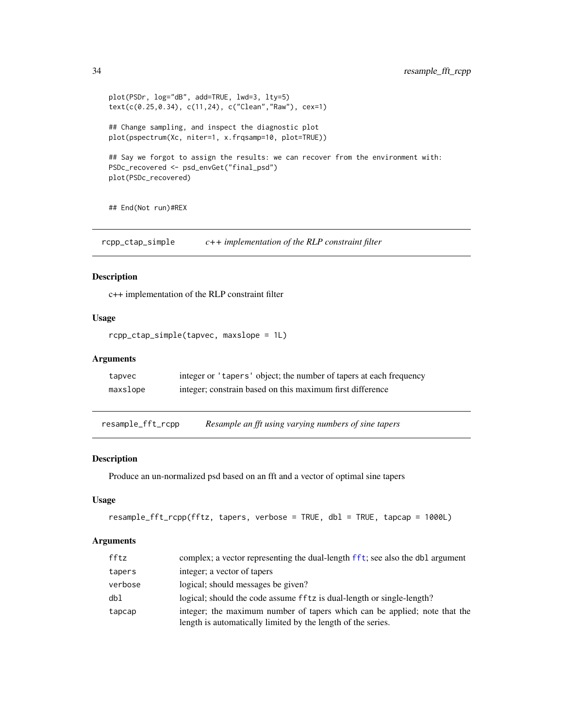```
plot(PSDr, log="dB", add=TRUE, lwd=3, lty=5)
text(c(0.25,0.34), c(11,24), c("Clean","Raw"), cex=1)
## Change sampling, and inspect the diagnostic plot
plot(pspectrum(Xc, niter=1, x.frqsamp=10, plot=TRUE))
## Say we forgot to assign the results: we can recover from the environment with:
PSDc_recovered <- psd_envGet("final_psd")
plot(PSDc_recovered)
```
## End(Not run)#REX

rcpp\_ctap\_simple *c++ implementation of the RLP constraint filter*

#### Description

c++ implementation of the RLP constraint filter

# Usage

```
rcpp_ctap_simple(tapvec, maxslope = 1L)
```
# Arguments

| tapvec   | integer or 'tapers' object; the number of tapers at each frequency |
|----------|--------------------------------------------------------------------|
| maxslope | integer; constrain based on this maximum first difference          |

<span id="page-33-1"></span>resample\_fft\_rcpp *Resample an fft using varying numbers of sine tapers*

#### Description

Produce an un-normalized psd based on an fft and a vector of optimal sine tapers

#### Usage

```
resample_fft_rcpp(fftz, tapers, verbose = TRUE, dbl = TRUE, tapcap = 1000L)
```
# Arguments

| fftz    | complex; a vector representing the dual-length fft; see also the db1 argument |
|---------|-------------------------------------------------------------------------------|
| tapers  | integer; a vector of tapers                                                   |
| verbose | logical; should messages be given?                                            |
| dbl     | logical; should the code assume fftz is dual-length or single-length?         |
| tapcap  | integer; the maximum number of tapers which can be applied; note that the     |
|         | length is automatically limited by the length of the series.                  |

<span id="page-33-0"></span>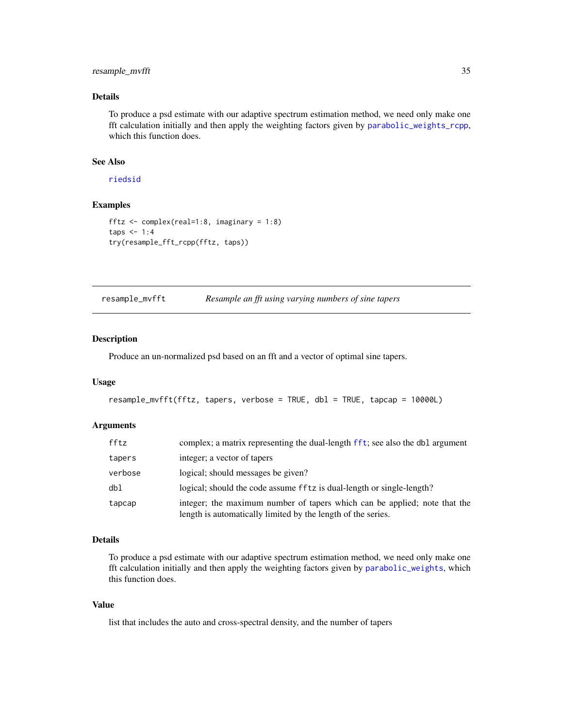# <span id="page-34-0"></span>resample\_mvfft 35

# Details

To produce a psd estimate with our adaptive spectrum estimation method, we need only make one fft calculation initially and then apply the weighting factors given by [parabolic\\_weights\\_rcpp](#page-10-1), which this function does.

# See Also

[riedsid](#page-35-1)

# Examples

```
fftz <- complex(real=1:8, imaginary = 1:8)
taps < -1:4try(resample_fft_rcpp(fftz, taps))
```
resample\_mvfft *Resample an fft using varying numbers of sine tapers*

# Description

Produce an un-normalized psd based on an fft and a vector of optimal sine tapers.

#### Usage

```
resample_mvfft(fftz, tapers, verbose = TRUE, dbl = TRUE, tapcap = 10000L)
```
# Arguments

| fftz    | complex; a matrix representing the dual-length fft; see also the db1 argument                                                             |
|---------|-------------------------------------------------------------------------------------------------------------------------------------------|
| tapers  | integer; a vector of tapers                                                                                                               |
| verbose | logical; should messages be given?                                                                                                        |
| dbl     | logical; should the code assume fftz is dual-length or single-length?                                                                     |
| tapcap  | integer; the maximum number of tapers which can be applied; note that the<br>length is automatically limited by the length of the series. |

#### Details

To produce a psd estimate with our adaptive spectrum estimation method, we need only make one fft calculation initially and then apply the weighting factors given by [parabolic\\_weights](#page-10-2), which this function does.

#### Value

list that includes the auto and cross-spectral density, and the number of tapers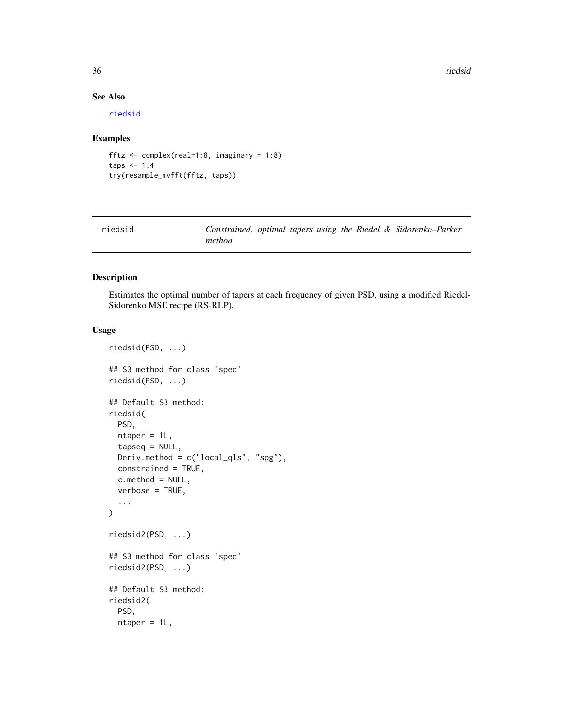36 riedsid

# See Also

[riedsid](#page-35-1)

#### Examples

```
fftz <- complex(real=1:8, imaginary = 1:8)
taps <-1:4try(resample_mvfft(fftz, taps))
```
<span id="page-35-1"></span>

| riedsid |        |  |  |  | Constrained, optimal tapers using the Riedel & Sidorenko-Parker |
|---------|--------|--|--|--|-----------------------------------------------------------------|
|         | method |  |  |  |                                                                 |

# <span id="page-35-2"></span>Description

Estimates the optimal number of tapers at each frequency of given PSD, using a modified Riedel-Sidorenko MSE recipe (RS-RLP).

#### Usage

```
riedsid(PSD, ...)
## S3 method for class 'spec'
riedsid(PSD, ...)
## Default S3 method:
riedsid(
 PSD,
 ntaper = 1L,
  tapseq = NULL,
 Deriv.method = c("local_qls", "spg"),constrained = TRUE,
 c.method = NULL,
 verbose = TRUE,
  ...
)
riedsid2(PSD, ...)
## S3 method for class 'spec'
riedsid2(PSD, ...)
## Default S3 method:
riedsid2(
 PSD,
 ntaper = 1L,
```
<span id="page-35-0"></span>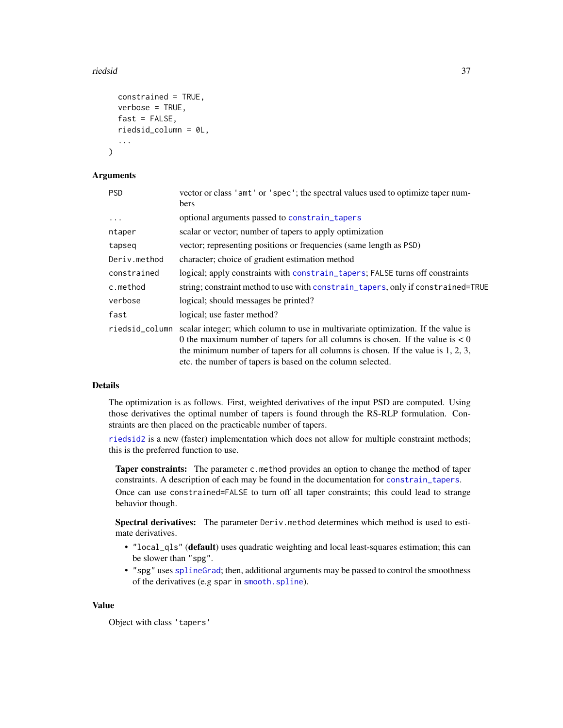#### <span id="page-36-0"></span>riedsid and the state of the state of the state of the state of the state of the state of the state of the state of the state of the state of the state of the state of the state of the state of the state of the state of th

```
constrained = TRUE,
verbose = TRUE,
fast = FALSE,
riedsid_column = 0L,
...
```
### Arguments

)

| <b>PSD</b>     | vector or class 'amt' or 'spec'; the spectral values used to optimize taper num-<br>bers                                                                                                                                                                                                                                  |
|----------------|---------------------------------------------------------------------------------------------------------------------------------------------------------------------------------------------------------------------------------------------------------------------------------------------------------------------------|
| $\cdots$       | optional arguments passed to constrain_tapers                                                                                                                                                                                                                                                                             |
| ntaper         | scalar or vector; number of tapers to apply optimization                                                                                                                                                                                                                                                                  |
| tapseq         | vector; representing positions or frequencies (same length as PSD)                                                                                                                                                                                                                                                        |
| Deriv.method   | character; choice of gradient estimation method                                                                                                                                                                                                                                                                           |
| constrained    | logical; apply constraints with constrain_tapers; FALSE turns off constraints                                                                                                                                                                                                                                             |
| c.method       | string; constraint method to use with constrain_tapers, only if constrained=TRUE                                                                                                                                                                                                                                          |
| verbose        | logical; should messages be printed?                                                                                                                                                                                                                                                                                      |
| fast           | logical; use faster method?                                                                                                                                                                                                                                                                                               |
| riedsid_column | scalar integer; which column to use in multivariate optimization. If the value is<br>0 the maximum number of tapers for all columns is chosen. If the value is $< 0$<br>the minimum number of tapers for all columns is chosen. If the value is $1, 2, 3$ ,<br>etc. the number of tapers is based on the column selected. |

#### Details

The optimization is as follows. First, weighted derivatives of the input PSD are computed. Using those derivatives the optimal number of tapers is found through the RS-RLP formulation. Constraints are then placed on the practicable number of tapers.

[riedsid2](#page-35-2) is a new (faster) implementation which does not allow for multiple constraint methods; this is the preferred function to use.

Taper constraints: The parameter c.method provides an option to change the method of taper constraints. A description of each may be found in the documentation for [constrain\\_tapers](#page-46-1). Once can use constrained=FALSE to turn off all taper constraints; this could lead to strange behavior though.

Spectral derivatives: The parameter Deriv.method determines which method is used to estimate derivatives.

- "local\_qls" (default) uses quadratic weighting and local least-squares estimation; this can be slower than "spg".
- "spg" uses [splineGrad](#page-45-1); then, additional arguments may be passed to control the smoothness of the derivatives (e.g spar in [smooth.spline](#page-0-0)).

#### Value

Object with class 'tapers'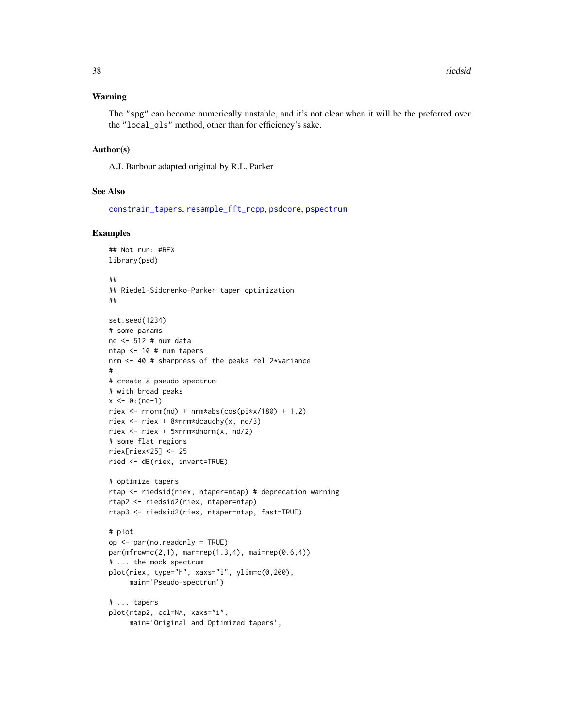#### <span id="page-37-0"></span>Warning

The "spg" can become numerically unstable, and it's not clear when it will be the preferred over the "local\_qls" method, other than for efficiency's sake.

#### Author(s)

A.J. Barbour adapted original by R.L. Parker

#### See Also

[constrain\\_tapers](#page-46-1), [resample\\_fft\\_rcpp](#page-33-1), [psdcore](#page-28-1), [pspectrum](#page-30-1)

```
## Not run: #REX
library(psd)
##
## Riedel-Sidorenko-Parker taper optimization
##
set.seed(1234)
# some params
nd <- 512 # num data
ntap <- 10 # num tapers
nrm <- 40 # sharpness of the peaks rel 2*variance
#
# create a pseudo spectrum
# with broad peaks
x \le -0: (nd-1)
riex <- rnorm(nd) + nrm*abs(cos(pi*x/180) + 1.2)
riex <- riex + 8*nrm*dcauchy(x, nd/3)
riex <- riex + 5*nrm*dnorm(x, nd/2)
# some flat regions
riex[riex<25] <- 25
ried <- dB(riex, invert=TRUE)
# optimize tapers
rtap <- riedsid(riex, ntaper=ntap) # deprecation warning
rtap2 <- riedsid2(riex, ntaper=ntap)
rtap3 <- riedsid2(riex, ntaper=ntap, fast=TRUE)
# plot
op <- par(no.readonly = TRUE)
par(mfrow=c(2,1), mar=rep(1.3,4), mai=rep(0.6,4))# ... the mock spectrum
plot(riex, type="h", xaxs="i", ylim=c(0,200),
     main='Pseudo-spectrum')
# ... tapers
plot(rtap2, col=NA, xaxs="i",
     main='Original and Optimized tapers',
```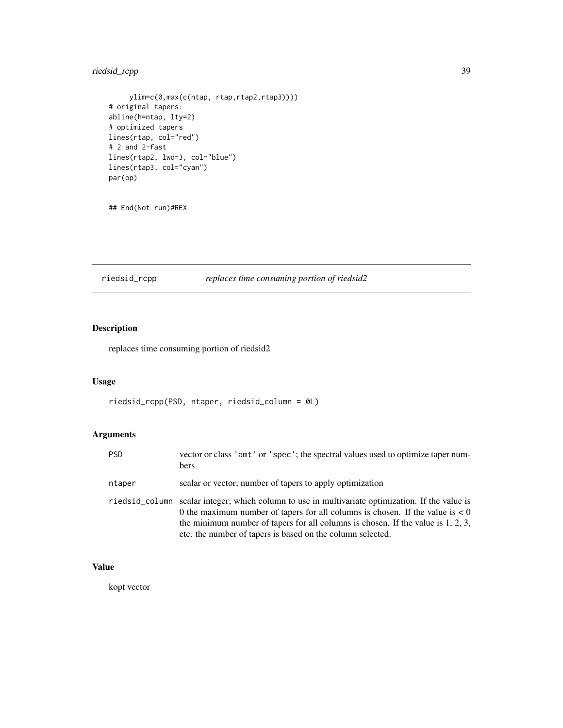# <span id="page-38-0"></span>riedsid\_rcpp 39

```
ylim=c(0,max(c(ntap, rtap,rtap2,rtap3))))
# original tapers:
abline(h=ntap, lty=2)
# optimized tapers
lines(rtap, col="red")
# 2 and 2-fast
lines(rtap2, lwd=3, col="blue")
lines(rtap3, col="cyan")
par(op)
```
## End(Not run)#REX

riedsid\_rcpp *replaces time consuming portion of riedsid2*

# Description

replaces time consuming portion of riedsid2

# Usage

riedsid\_rcpp(PSD, ntaper, riedsid\_column = 0L)

# Arguments

| <b>PSD</b> | vector or class 'amt' or 'spec'; the spectral values used to optimize taper num-<br><b>bers</b>                                                                                                                                                                                                                                          |
|------------|------------------------------------------------------------------------------------------------------------------------------------------------------------------------------------------------------------------------------------------------------------------------------------------------------------------------------------------|
| ntaper     | scalar or vector; number of tapers to apply optimization                                                                                                                                                                                                                                                                                 |
|            | riedsid_column scalar integer; which column to use in multivariate optimization. If the value is<br>0 the maximum number of tapers for all columns is chosen. If the value is $< 0$<br>the minimum number of tapers for all columns is chosen. If the value is $1, 2, 3$ ,<br>etc. the number of tapers is based on the column selected. |

# Value

kopt vector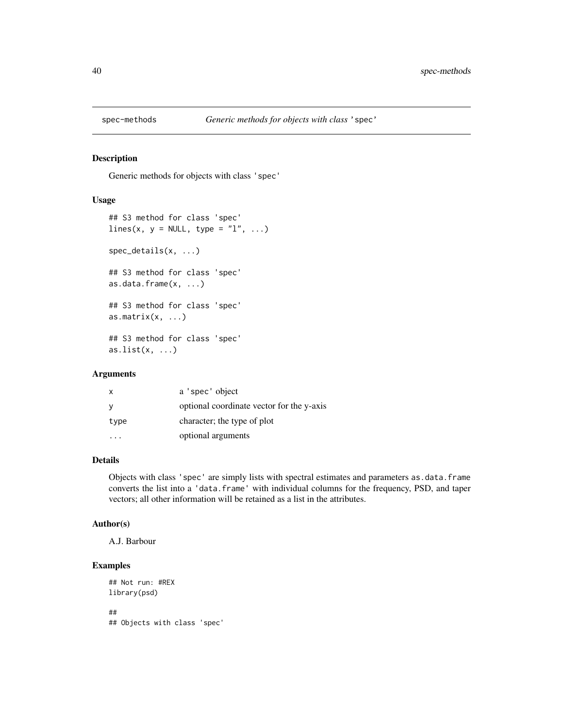<span id="page-39-0"></span>

Generic methods for objects with class 'spec'

#### Usage

```
## S3 method for class 'spec'
lines(x, y = NULL, type = "l", ...)
spec_details(x, ...)
## S3 method for class 'spec'
as.data.frame(x, ...)
## S3 method for class 'spec'
as.matrix(x, \ldots)## S3 method for class 'spec'
as.list(x, \ldots)
```
# Arguments

| $\mathsf{x}$ | a 'spec' object                           |
|--------------|-------------------------------------------|
| <sub>V</sub> | optional coordinate vector for the y-axis |
| type         | character; the type of plot               |
|              | optional arguments                        |

# Details

Objects with class 'spec' are simply lists with spectral estimates and parameters as.data.frame converts the list into a 'data.frame' with individual columns for the frequency, PSD, and taper vectors; all other information will be retained as a list in the attributes.

#### Author(s)

A.J. Barbour

```
## Not run: #REX
library(psd)
##
## Objects with class 'spec'
```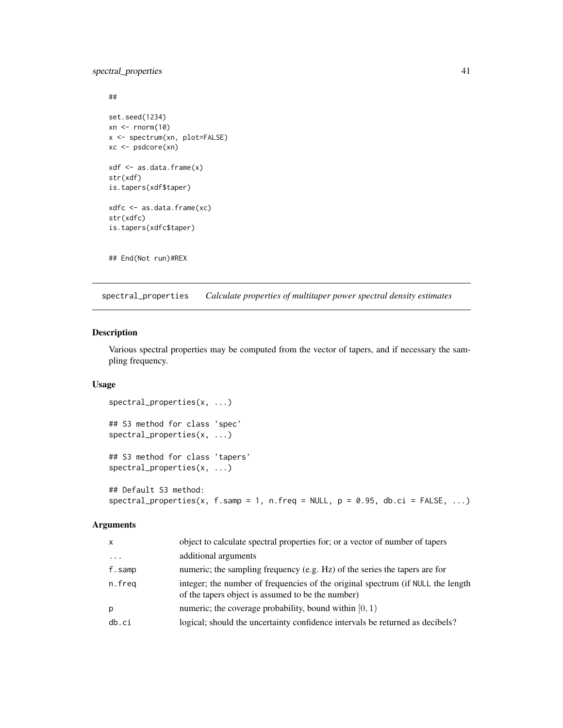# <span id="page-40-0"></span>spectral\_properties 41

```
##
set.seed(1234)
xn \leq -rnorm(10)x <- spectrum(xn, plot=FALSE)
xc <- psdcore(xn)
xdf <- as.data.frame(x)
str(xdf)
is.tapers(xdf$taper)
xdfc <- as.data.frame(xc)
str(xdfc)
is.tapers(xdfc$taper)
```
## End(Not run)#REX

<span id="page-40-1"></span>spectral\_properties *Calculate properties of multitaper power spectral density estimates*

# Description

Various spectral properties may be computed from the vector of tapers, and if necessary the sampling frequency.

# Usage

```
spectral_properties(x, ...)
## S3 method for class 'spec'
spectral_properties(x, ...)
## S3 method for class 'tapers'
spectral_properties(x, ...)
## Default S3 method:
spectral\_properties(x, f.samp = 1, n.freq = NULL, p = 0.95, db.ci = FALSE, ...)
```
#### Arguments

| X       | object to calculate spectral properties for; or a vector of number of tapers                                                         |
|---------|--------------------------------------------------------------------------------------------------------------------------------------|
| $\cdot$ | additional arguments                                                                                                                 |
| f.samp  | numeric; the sampling frequency (e.g. Hz) of the series the tapers are for                                                           |
| n.freq  | integer; the number of frequencies of the original spectrum (if NULL the length<br>of the tapers object is assumed to be the number) |
| р       | numeric; the coverage probability, bound within $[0, 1)$                                                                             |
| db. ci  | logical; should the uncertainty confidence intervals be returned as decibels?                                                        |
|         |                                                                                                                                      |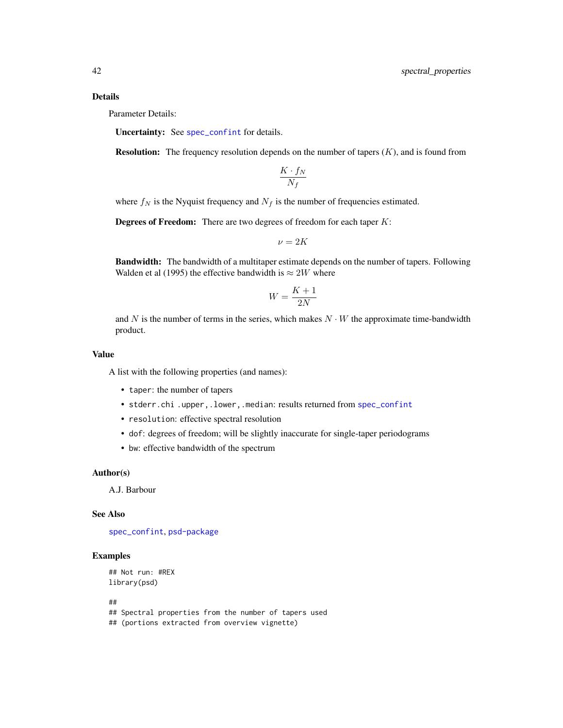#### <span id="page-41-0"></span>Details

Parameter Details:

Uncertainty: See [spec\\_confint](#page-43-1) for details.

**Resolution:** The frequency resolution depends on the number of tapers  $(K)$ , and is found from

$$
\frac{K \cdot f_N}{N_f}
$$

where  $f_N$  is the Nyquist frequency and  $N_f$  is the number of frequencies estimated.

**Degrees of Freedom:** There are two degrees of freedom for each taper  $K$ :

$$
\nu=2K
$$

Bandwidth: The bandwidth of a multitaper estimate depends on the number of tapers. Following Walden et al (1995) the effective bandwidth is  $\approx 2W$  where

$$
W = \frac{K+1}{2N}
$$

and N is the number of terms in the series, which makes  $N \cdot W$  the approximate time-bandwidth product.

# Value

A list with the following properties (and names):

- taper: the number of tapers
- stderr.chi .upper,.lower,.median: results returned from [spec\\_confint](#page-43-1)
- resolution: effective spectral resolution
- dof: degrees of freedom; will be slightly inaccurate for single-taper periodograms
- bw: effective bandwidth of the spectrum

#### Author(s)

A.J. Barbour

#### See Also

[spec\\_confint](#page-43-1), [psd-package](#page-2-1)

```
## Not run: #REX
library(psd)
##
## Spectral properties from the number of tapers used
## (portions extracted from overview vignette)
```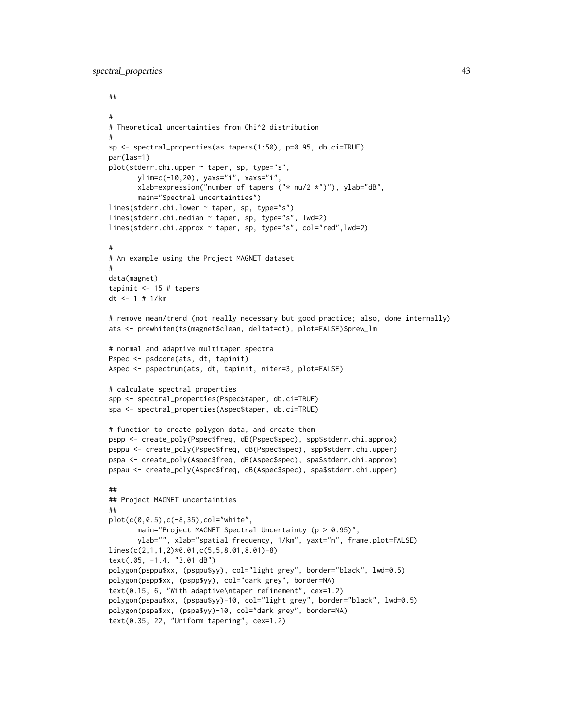```
##
#
# Theoretical uncertainties from Chi^2 distribution
#
sp <- spectral_properties(as.tapers(1:50), p=0.95, db.ci=TRUE)
par(las=1)
plot(stderr.chi.upper ~ taper, sp, type="s",
       ylim=c(-10,20), yaxs="i", xaxs="i",
       xlab=expression("number of tapers ("* nu/2 *")"), ylab="dB",
       main="Spectral uncertainties")
lines(stderr.chi.lower ~ taper, sp, type="s")
lines(stderr.chi.median ~ taper, sp, type="s", lwd=2)
lines(stderr.chi.approx ~ taper, sp, type="s", col="red",lwd=2)
#
# An example using the Project MAGNET dataset
#
data(magnet)
tapinit <- 15 # tapers
dt <- 1 # 1/km
# remove mean/trend (not really necessary but good practice; also, done internally)
ats <- prewhiten(ts(magnet$clean, deltat=dt), plot=FALSE)$prew_lm
# normal and adaptive multitaper spectra
Pspec <- psdcore(ats, dt, tapinit)
Aspec <- pspectrum(ats, dt, tapinit, niter=3, plot=FALSE)
# calculate spectral properties
spp <- spectral_properties(Pspec$taper, db.ci=TRUE)
spa <- spectral_properties(Aspec$taper, db.ci=TRUE)
# function to create polygon data, and create them
pspp <- create_poly(Pspec$freq, dB(Pspec$spec), spp$stderr.chi.approx)
psppu <- create_poly(Pspec$freq, dB(Pspec$spec), spp$stderr.chi.upper)
pspa <- create_poly(Aspec$freq, dB(Aspec$spec), spa$stderr.chi.approx)
pspau <- create_poly(Aspec$freq, dB(Aspec$spec), spa$stderr.chi.upper)
##
## Project MAGNET uncertainties
##
plot(c(0,0.5),c(-8,35),col="white",
       main="Project MAGNET Spectral Uncertainty (p > 0.95)",
       ylab="", xlab="spatial frequency, 1/km", yaxt="n", frame.plot=FALSE)
lines(c(2,1,1,2)*0.01,c(5,5,8.01,8.01)-8)
text(.05, -1.4, "3.01 dB")
polygon(psppu$xx, (psppu$yy), col="light grey", border="black", lwd=0.5)
polygon(pspp$xx, (pspp$yy), col="dark grey", border=NA)
text(0.15, 6, "With adaptive\ntaper refinement", cex=1.2)
polygon(pspau$xx, (pspau$yy)-10, col="light grey", border="black", lwd=0.5)
polygon(pspa$xx, (pspa$yy)-10, col="dark grey", border=NA)
text(0.35, 22, "Uniform tapering", cex=1.2)
```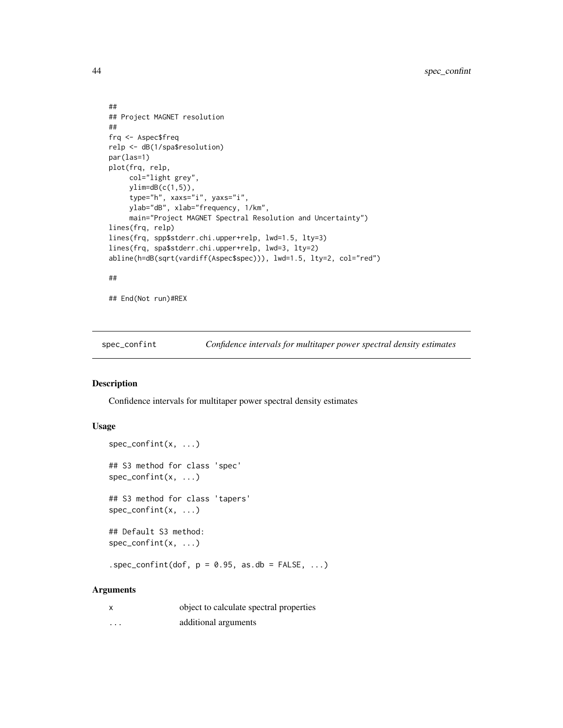```
##
## Project MAGNET resolution
##
frq <- Aspec$freq
relp <- dB(1/spa$resolution)
par(las=1)
plot(frq, relp,
     col="light grey",
    ylim=dB(c(1,5)),
     type="h", xaxs="i", yaxs="i",
     ylab="dB", xlab="frequency, 1/km",
     main="Project MAGNET Spectral Resolution and Uncertainty")
lines(frq, relp)
lines(frq, spp$stderr.chi.upper+relp, lwd=1.5, lty=3)
lines(frq, spa$stderr.chi.upper+relp, lwd=3, lty=2)
abline(h=dB(sqrt(vardiff(Aspec$spec))), lwd=1.5, lty=2, col="red")
##
```
## End(Not run)#REX

<span id="page-43-1"></span>spec\_confint *Confidence intervals for multitaper power spectral density estimates*

# Description

Confidence intervals for multitaper power spectral density estimates

#### Usage

```
spec_confint(x, ...)
## S3 method for class 'spec'
spec_confint(x, ...)
## S3 method for class 'tapers'
spec_confint(x, ...)
## Default S3 method:
spec_confint(x, ...)
.spec_confint(dof, p = 0.95, as.db = FALSE, ...)
```
#### Arguments

| $\boldsymbol{\mathsf{x}}$ | object to calculate spectral properties |
|---------------------------|-----------------------------------------|
| $\cdots$                  | additional arguments                    |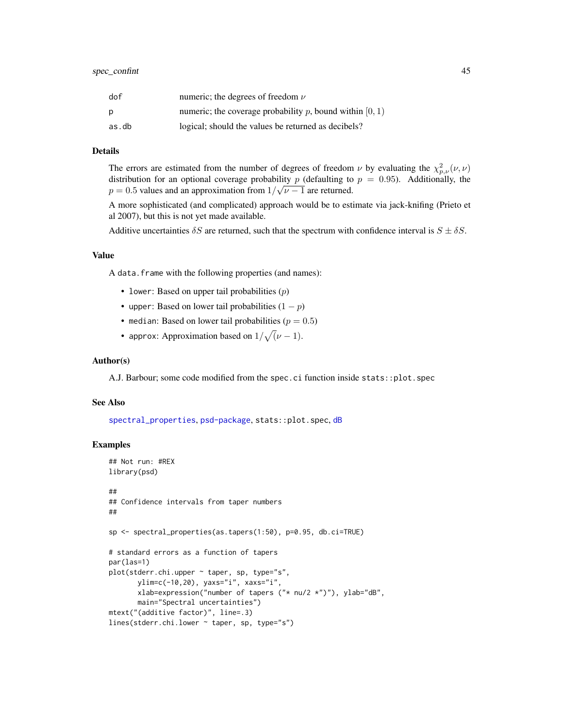<span id="page-44-0"></span>

| dof   | numeric; the degrees of freedom $\nu$                      |
|-------|------------------------------------------------------------|
| Ŋ     | numeric; the coverage probability p, bound within $[0, 1)$ |
| as.db | logical; should the values be returned as decibels?        |

#### Details

The errors are estimated from the number of degrees of freedom  $\nu$  by evaluating the  $\chi^2_{p,\nu}(\nu,\nu)$ distribution for an optional coverage probability p (defaulting to  $p = 0.95$ ). Additionally, the  $p = 0.5$  values and an approximation from  $1/\sqrt{\nu - 1}$  are returned.

A more sophisticated (and complicated) approach would be to estimate via jack-knifing (Prieto et al 2007), but this is not yet made available.

Additive uncertainties  $\delta S$  are returned, such that the spectrum with confidence interval is  $S \pm \delta S$ .

#### Value

A data.frame with the following properties (and names):

- lower: Based on upper tail probabilities  $(p)$
- upper: Based on lower tail probabilities  $(1 p)$
- median: Based on lower tail probabilities ( $p = 0.5$ )
- approx: Approximation based on  $1/\sqrt{(\nu-1)}$ .

#### Author(s)

A.J. Barbour; some code modified from the spec.ci function inside stats::plot.spec

#### See Also

[spectral\\_properties](#page-40-1), [psd-package](#page-2-1), stats::plot.spec, [dB](#page-24-1)

```
## Not run: #REX
library(psd)
##
## Confidence intervals from taper numbers
##
sp <- spectral_properties(as.tapers(1:50), p=0.95, db.ci=TRUE)
# standard errors as a function of tapers
par(las=1)
plot(stderr.chi.upper ~ taper, sp, type="s",
       ylim=c(-10,20), yaxs="i", xaxs="i",
       xlab=expression("number of tapers ("* nu/2 *")"), ylab="dB",
       main="Spectral uncertainties")
mtext("(additive factor)", line=.3)
lines(stderr.chi.lower ~ taper, sp, type="s")
```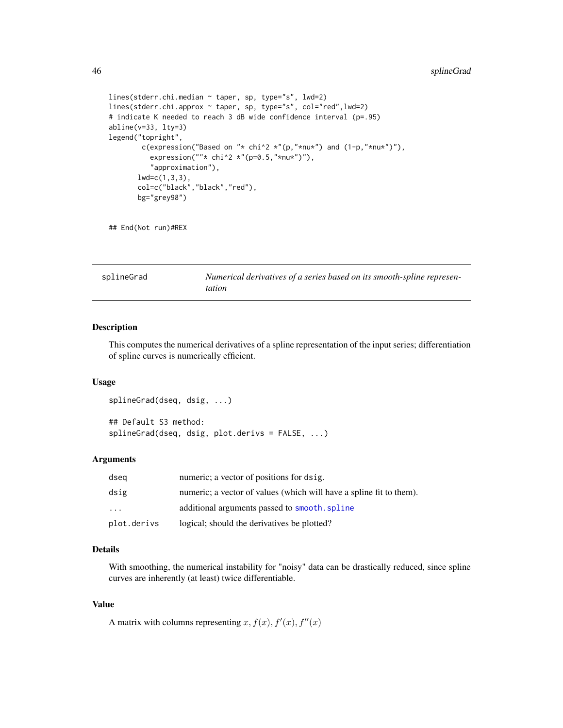```
lines(stderr.chi.median ~ taper, sp, type="s", lwd=2)
lines(stderr.chi.approx ~ taper, sp, type="s", col="red",lwd=2)
# indicate K needed to reach 3 dB wide confidence interval (p=.95)
abline(v=33, lty=3)
legend("topright",
       c(expression("Based on "* chi^2 *"(p,"*nu*") and (1-p,"*nu*")"),
          expression(" " * chi^2 * " (p=0.5," *nu*")","approximation"),
       lwd=c(1,3,3),col=c("black","black","red"),
       bg="grey98")
```
## End(Not run)#REX

<span id="page-45-1"></span>

| splineGrad | Numerical derivatives of a series based on its smooth-spline represen- |
|------------|------------------------------------------------------------------------|
|            | <i>tation</i>                                                          |

#### Description

This computes the numerical derivatives of a spline representation of the input series; differentiation of spline curves is numerically efficient.

#### Usage

```
splineGrad(dseq, dsig, ...)
## Default S3 method:
splineGrad(dseq, dsig, plot.derivs = FALSE, ...)
```
# Arguments

| dseg        | numeric; a vector of positions for dsig.                            |
|-------------|---------------------------------------------------------------------|
| dsig        | numeric; a vector of values (which will have a spline fit to them). |
| $\cdot$     | additional arguments passed to smooth. spline                       |
| plot.derivs | logical; should the derivatives be plotted?                         |

# Details

With smoothing, the numerical instability for "noisy" data can be drastically reduced, since spline curves are inherently (at least) twice differentiable.

#### Value

A matrix with columns representing  $x, f(x), f'(x), f''(x)$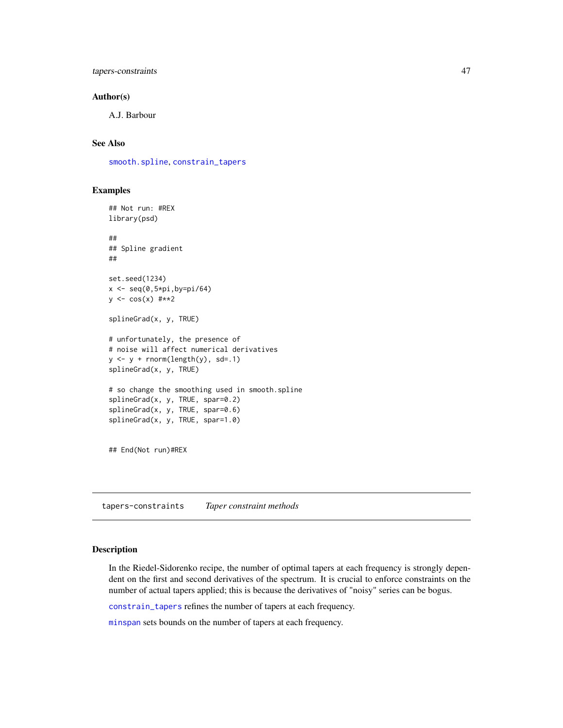<span id="page-46-0"></span>tapers-constraints 47

#### Author(s)

A.J. Barbour

#### See Also

[smooth.spline](#page-0-0), [constrain\\_tapers](#page-46-1)

#### Examples

```
## Not run: #REX
library(psd)
##
## Spline gradient
##
set.seed(1234)
x \le - seq(0,5*pi,by=pi/64)
y \leq -\cos(x) #**2
splineGrad(x, y, TRUE)
# unfortunately, the presence of
# noise will affect numerical derivatives
y \leftarrow y + \text{rnorm}(\text{length}(y), \text{ sd} = .1)splineGrad(x, y, TRUE)
# so change the smoothing used in smooth.spline
splineGrad(x, y, TRUE, spar=0.2)
splineGrad(x, y, TRUE, spar=0.6)
splineGrad(x, y, TRUE, spar=1.0)
## End(Not run)#REX
```
tapers-constraints *Taper constraint methods*

#### <span id="page-46-1"></span>Description

In the Riedel-Sidorenko recipe, the number of optimal tapers at each frequency is strongly dependent on the first and second derivatives of the spectrum. It is crucial to enforce constraints on the number of actual tapers applied; this is because the derivatives of "noisy" series can be bogus.

[constrain\\_tapers](#page-46-1) refines the number of tapers at each frequency.

[minspan](#page-46-1) sets bounds on the number of tapers at each frequency.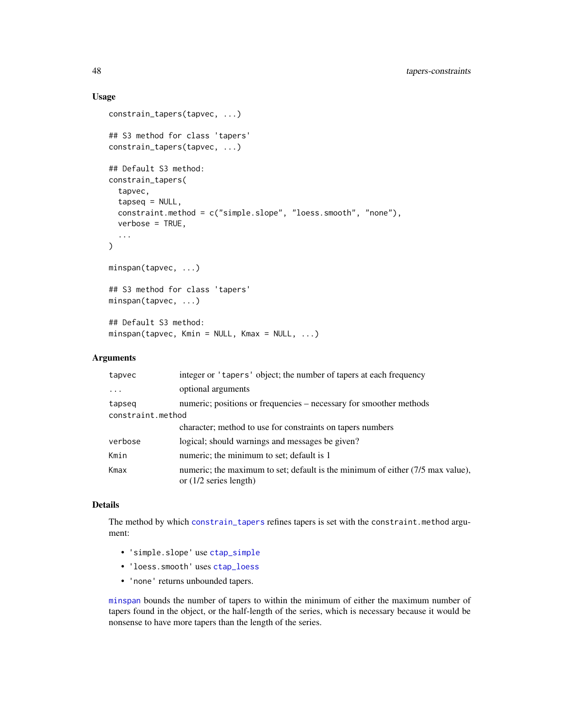#### Usage

```
constrain_tapers(tapvec, ...)
## S3 method for class 'tapers'
constrain_tapers(tapvec, ...)
## Default S3 method:
constrain_tapers(
  tapvec,
  tapseq = NULL,
  constraint.method = c("simple.slope", "loess.smooth", "none"),
  verbose = TRUE,
  ...
\mathcal{L}minspan(tapvec, ...)
## S3 method for class 'tapers'
minspan(tapvec, ...)
## Default S3 method:
minspan(tapvec, Kmin = NULL, Kmax = NULL, ...)
```
#### Arguments

| tapvec            | integer or 'tapers' object; the number of tapers at each frequency                                         |
|-------------------|------------------------------------------------------------------------------------------------------------|
|                   | optional arguments                                                                                         |
| tapseq            | numeric; positions or frequencies – necessary for smoother methods                                         |
| constraint.method |                                                                                                            |
|                   | character; method to use for constraints on tapers numbers                                                 |
| verbose           | logical; should warnings and messages be given?                                                            |
| Kmin              | numeric; the minimum to set; default is 1                                                                  |
| Kmax              | numeric; the maximum to set; default is the minimum of either (7/5 max value),<br>or $(1/2$ series length) |

# Details

The method by which [constrain\\_tapers](#page-46-1) refines tapers is set with the constraint.method argument:

- 'simple.slope' use [ctap\\_simple](#page-51-1)
- 'loess.smooth' uses [ctap\\_loess](#page-5-2)
- 'none' returns unbounded tapers.

[minspan](#page-46-1) bounds the number of tapers to within the minimum of either the maximum number of tapers found in the object, or the half-length of the series, which is necessary because it would be nonsense to have more tapers than the length of the series.

<span id="page-47-0"></span>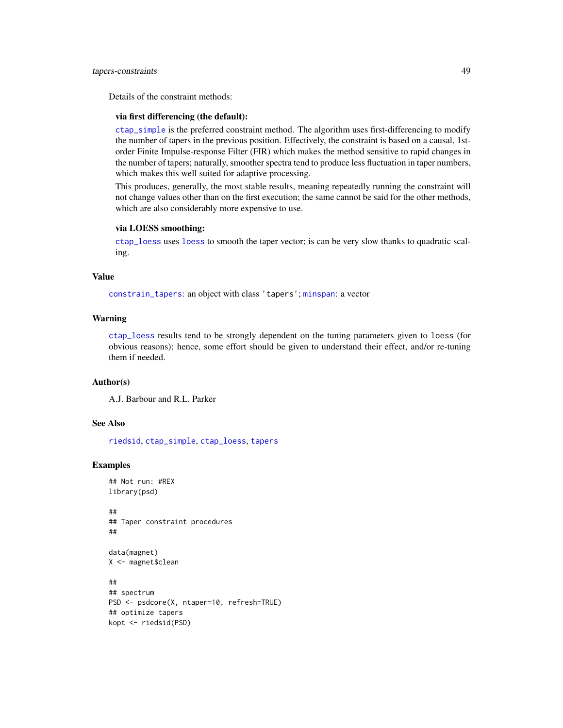#### <span id="page-48-0"></span>tapers-constraints 49

Details of the constraint methods:

# via first differencing (the default):

[ctap\\_simple](#page-51-1) is the preferred constraint method. The algorithm uses first-differencing to modify the number of tapers in the previous position. Effectively, the constraint is based on a causal, 1storder Finite Impulse-response Filter (FIR) which makes the method sensitive to rapid changes in the number of tapers; naturally, smoother spectra tend to produce less fluctuation in taper numbers, which makes this well suited for adaptive processing.

This produces, generally, the most stable results, meaning repeatedly running the constraint will not change values other than on the first execution; the same cannot be said for the other methods, which are also considerably more expensive to use.

#### via LOESS smoothing:

[ctap\\_loess](#page-5-2) uses [loess](#page-0-0) to smooth the taper vector; is can be very slow thanks to quadratic scaling.

#### Value

[constrain\\_tapers](#page-46-1): an object with class 'tapers'; [minspan](#page-46-1): a vector

# Warning

[ctap\\_loess](#page-5-2) results tend to be strongly dependent on the tuning parameters given to loess (for obvious reasons); hence, some effort should be given to understand their effect, and/or re-tuning them if needed.

#### Author(s)

A.J. Barbour and R.L. Parker

### See Also

[riedsid](#page-35-1), [ctap\\_simple](#page-51-1), [ctap\\_loess](#page-5-2), [tapers](#page-3-2)

```
## Not run: #REX
library(psd)
##
## Taper constraint procedures
##
data(magnet)
X <- magnet$clean
##
## spectrum
PSD <- psdcore(X, ntaper=10, refresh=TRUE)
```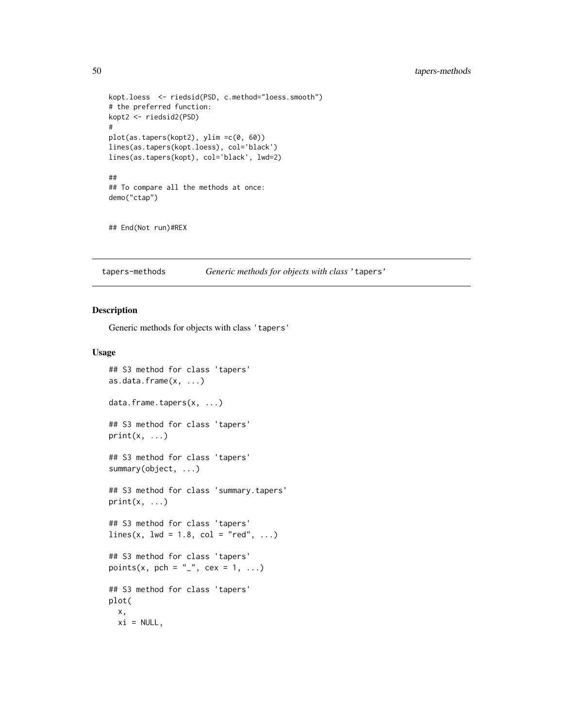```
kopt.loess <- riedsid(PSD, c.method="loess.smooth")
# the preferred function:
kopt2 <- riedsid2(PSD)
#
plot(as.tapers(kopt2), ylim =c(0, 60))
lines(as.tapers(kopt.loess), col='black')
lines(as.tapers(kopt), col='black', lwd=2)
##
## To compare all the methods at once:
demo("ctap")
```
## End(Not run)#REX

tapers-methods *Generic methods for objects with class* 'tapers'

#### Description

Generic methods for objects with class 'tapers'

#### Usage

```
## S3 method for class 'tapers'
as.data.frame(x, ...)
data.frame.tapers(x, ...)
## S3 method for class 'tapers'
print(x, \ldots)## S3 method for class 'tapers'
summary(object, ...)
## S3 method for class 'summary.tapers'
print(x, \ldots)## S3 method for class 'tapers'
lines(x, lwd = 1.8, col = "red", ...)## S3 method for class 'tapers'
points(x, pch = "_", cex = 1, ...)
## S3 method for class 'tapers'
plot(
  x,
 xi = NULL,
```
<span id="page-49-0"></span>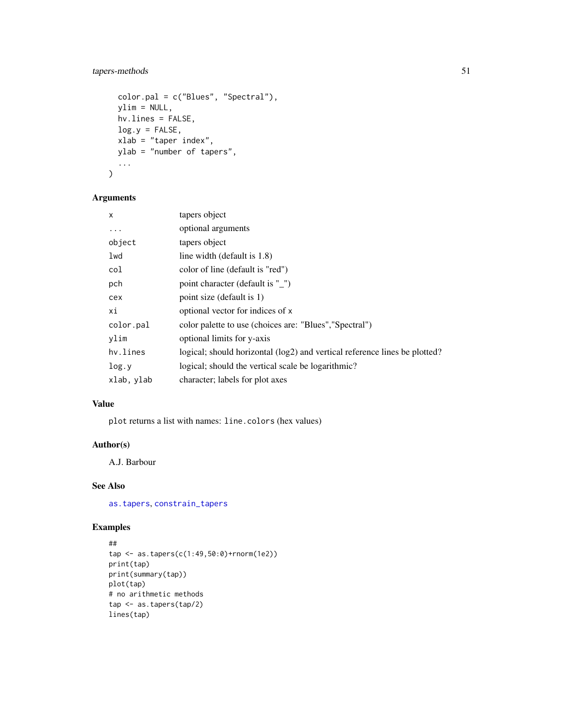# <span id="page-50-0"></span>tapers-methods 51

```
color.pal = c("Blues", "Spectral"),
 ylim = NULL,
 hv.lines = FALSE,
 log.y = FALSE,xlab = "taper index",
 ylab = "number of tapers",
  ...
\mathcal{L}
```
# Arguments

| x          | tapers object                                                              |
|------------|----------------------------------------------------------------------------|
| $\cdots$   | optional arguments                                                         |
| object     | tapers object                                                              |
| lwd        | line width (default is 1.8)                                                |
| col        | color of line (default is "red")                                           |
| pch        | point character (default is "")                                            |
| cex        | point size (default is 1)                                                  |
| хi         | optional vector for indices of x                                           |
| color.pal  | color palette to use (choices are: "Blues", "Spectral")                    |
| ylim       | optional limits for y-axis                                                 |
| hv.lines   | logical; should horizontal (log2) and vertical reference lines be plotted? |
| log.y      | logical; should the vertical scale be logarithmic?                         |
| xlab, ylab | character; labels for plot axes                                            |

# Value

plot returns a list with names: line.colors (hex values)

# Author(s)

A.J. Barbour

# See Also

[as.tapers](#page-3-1), [constrain\\_tapers](#page-46-1)

```
##
tap <- as.tapers(c(1:49,50:0)+rnorm(1e2))
print(tap)
print(summary(tap))
plot(tap)
# no arithmetic methods
tap <- as.tapers(tap/2)
lines(tap)
```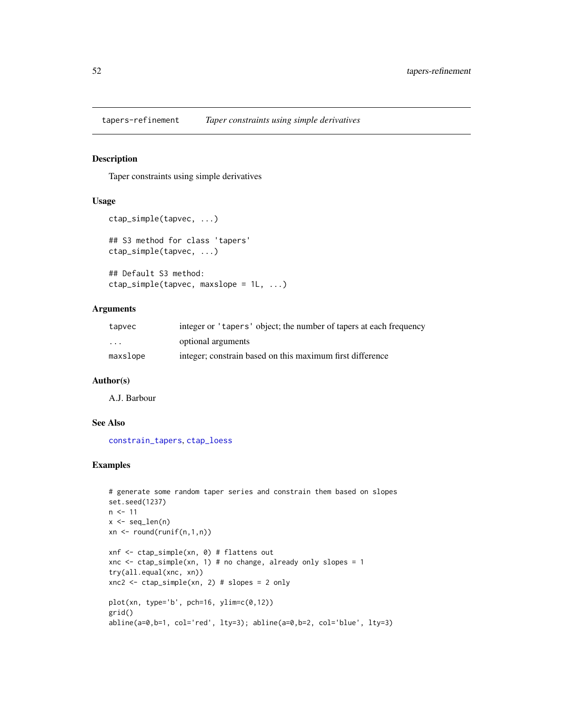<span id="page-51-0"></span>tapers-refinement *Taper constraints using simple derivatives*

#### <span id="page-51-1"></span>Description

Taper constraints using simple derivatives

#### Usage

```
ctap_simple(tapvec, ...)
## S3 method for class 'tapers'
ctap_simple(tapvec, ...)
## Default S3 method:
ctap_simple(tapvec, maxslope = 1L, ...)
```
# Arguments

| tapvec                  | integer or 'tapers' object; the number of tapers at each frequency |
|-------------------------|--------------------------------------------------------------------|
| $\cdot$ $\cdot$ $\cdot$ | optional arguments                                                 |
| maxslope                | integer; constrain based on this maximum first difference          |

#### Author(s)

A.J. Barbour

# See Also

[constrain\\_tapers](#page-46-1), [ctap\\_loess](#page-5-2)

```
# generate some random taper series and constrain them based on slopes
set.seed(1237)
n < -11x \leftarrow \text{seq\_len}(n)xn \leftarrow round(runif(n,1,n))xnf <- ctap_simple(xn, 0) # flattens out
xnc \le ctap_simple(xn, 1) # no change, already only slopes = 1
try(all.equal(xnc, xn))
xnc2 <- ctap_simple(xn, 2) # slopes = 2 only
plot(xn, type='b', pch=16, ylim=c(0,12))
grid()
abline(a=0,b=1, col='red', lty=3); abline(a=0,b=2, col='blue', lty=3)
```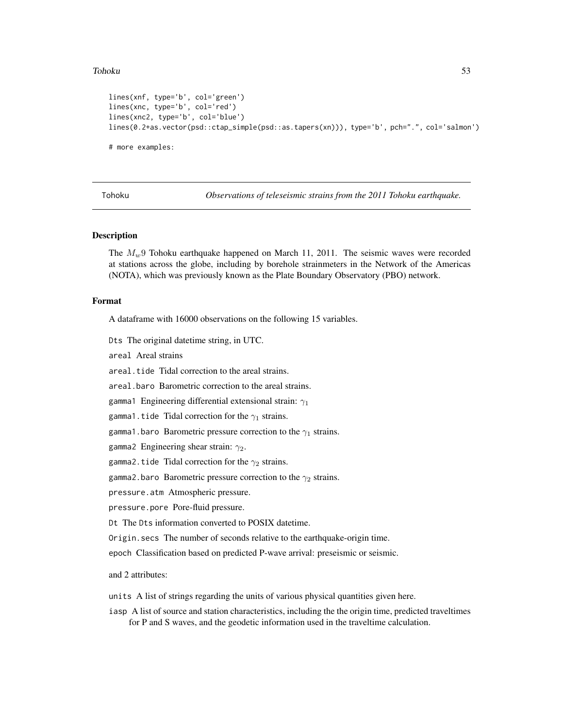#### <span id="page-52-0"></span>Tohoku 53

```
lines(xnf, type='b', col='green')
lines(xnc, type='b', col='red')
lines(xnc2, type='b', col='blue')
lines(0.2+as.vector(psd::ctap_simple(psd::as.tapers(xn))), type='b', pch=".", col='salmon')
# more examples:
```
<span id="page-52-1"></span>

Tohoku *Observations of teleseismic strains from the 2011 Tohoku earthquake.*

#### Description

The  $M_w$ 9 Tohoku earthquake happened on March 11, 2011. The seismic waves were recorded at stations across the globe, including by borehole strainmeters in the Network of the Americas (NOTA), which was previously known as the Plate Boundary Observatory (PBO) network.

#### Format

A dataframe with 16000 observations on the following 15 variables.

Dts The original datetime string, in UTC.

areal Areal strains

areal.tide Tidal correction to the areal strains.

areal.baro Barometric correction to the areal strains.

gamma1 Engineering differential extensional strain:  $\gamma_1$ 

gamma1.tide Tidal correction for the  $\gamma_1$  strains.

gamma1.baro Barometric pressure correction to the  $\gamma_1$  strains.

gamma2 Engineering shear strain:  $\gamma_2$ .

gamma2.tide Tidal correction for the  $\gamma_2$  strains.

gamma2.baro Barometric pressure correction to the  $\gamma_2$  strains.

pressure.atm Atmospheric pressure.

pressure.pore Pore-fluid pressure.

Dt The Dts information converted to POSIX datetime.

Origin.secs The number of seconds relative to the earthquake-origin time.

epoch Classification based on predicted P-wave arrival: preseismic or seismic.

and 2 attributes:

units A list of strings regarding the units of various physical quantities given here.

iasp A list of source and station characteristics, including the the origin time, predicted traveltimes for P and S waves, and the geodetic information used in the traveltime calculation.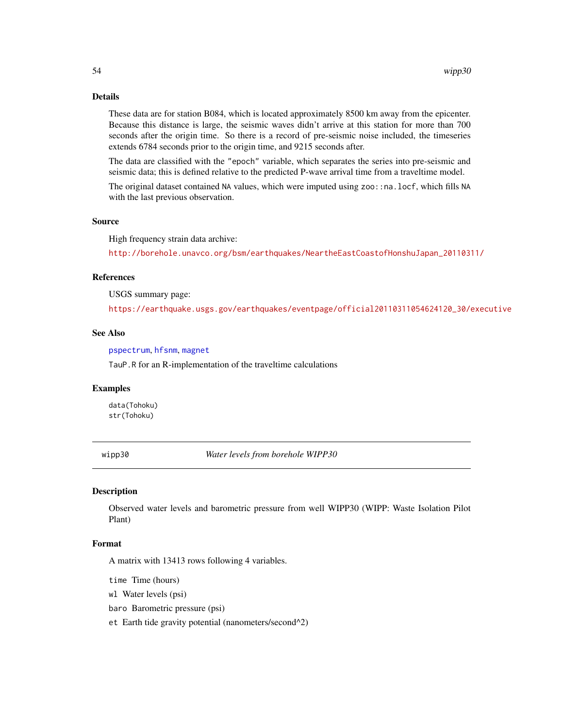# <span id="page-53-0"></span>Details

These data are for station B084, which is located approximately 8500 km away from the epicenter. Because this distance is large, the seismic waves didn't arrive at this station for more than 700 seconds after the origin time. So there is a record of pre-seismic noise included, the timeseries extends 6784 seconds prior to the origin time, and 9215 seconds after.

The data are classified with the "epoch" variable, which separates the series into pre-seismic and seismic data; this is defined relative to the predicted P-wave arrival time from a traveltime model.

The original dataset contained NA values, which were imputed using zoo::na.locf, which fills NA with the last previous observation.

# Source

High frequency strain data archive:

[http://borehole.unavco.org/bsm/earthquakes/NeartheEastCoastofHonshuJapan\\_20110311/](http://borehole.unavco.org/bsm/earthquakes/NeartheEastCoastofHonshuJapan_20110311/)

#### References

USGS summary page:

[https://earthquake.usgs.gov/earthquakes/eventpage/official20110311054624120\\_30/executive](https://earthquake.usgs.gov/earthquakes/eventpage/official20110311054624120_30/executive)

# See Also

[pspectrum](#page-30-1), [hfsnm](#page-7-1), [magnet](#page-8-1)

TauP.R for an R-implementation of the traveltime calculations

#### Examples

data(Tohoku) str(Tohoku)

wipp30 *Water levels from borehole WIPP30*

# **Description**

Observed water levels and barometric pressure from well WIPP30 (WIPP: Waste Isolation Pilot Plant)

#### Format

A matrix with 13413 rows following 4 variables.

time Time (hours)

wl Water levels (psi)

baro Barometric pressure (psi)

et Earth tide gravity potential (nanometers/second^2)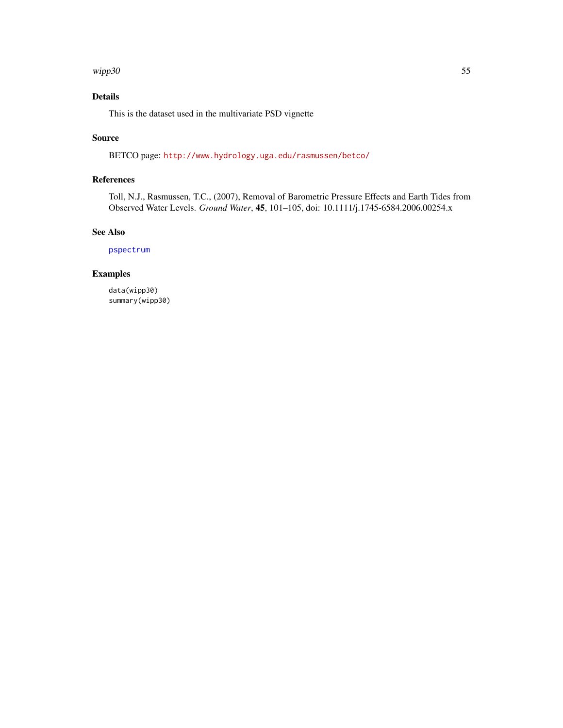#### <span id="page-54-0"></span>wipp30 55

# Details

This is the dataset used in the multivariate PSD vignette

# Source

BETCO page: <http://www.hydrology.uga.edu/rasmussen/betco/>

# References

Toll, N.J., Rasmussen, T.C., (2007), Removal of Barometric Pressure Effects and Earth Tides from Observed Water Levels. *Ground Water*, 45, 101–105, doi: 10.1111/j.1745-6584.2006.00254.x

# See Also

[pspectrum](#page-30-1)

# Examples

data(wipp30) summary(wipp30)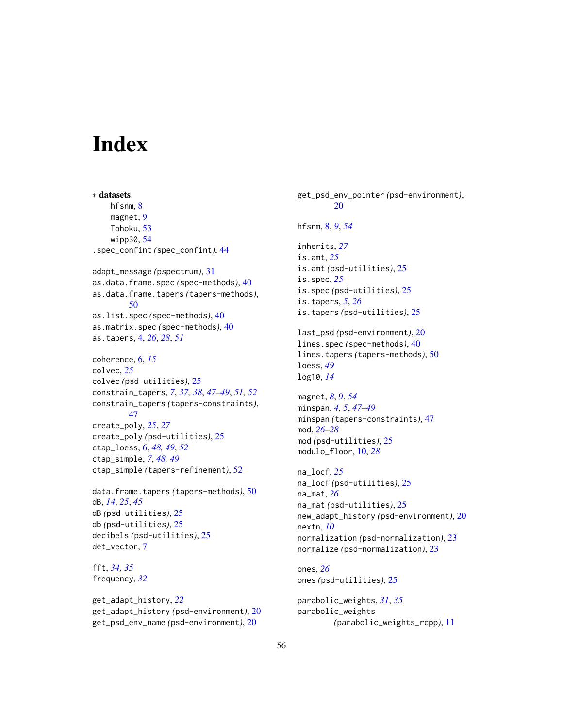# <span id="page-55-0"></span>**Index**

∗ datasets hfsnm, [8](#page-7-0) magnet, [9](#page-8-0) Tohoku, [53](#page-52-0) wipp30, [54](#page-53-0) .spec\_confint *(*spec\_confint*)*, [44](#page-43-0) adapt\_message *(*pspectrum*)*, [31](#page-30-0) as.data.frame.spec *(*spec-methods*)*, [40](#page-39-0) as.data.frame.tapers *(*tapers-methods*)*, [50](#page-49-0) as.list.spec *(*spec-methods*)*, [40](#page-39-0) as.matrix.spec *(*spec-methods*)*, [40](#page-39-0) as.tapers, [4,](#page-3-0) *[26](#page-25-0)*, *[28](#page-27-0)*, *[51](#page-50-0)* coherence, [6,](#page-5-0) *[15](#page-14-0)* colvec, *[25](#page-24-0)* colvec *(*psd-utilities*)*, [25](#page-24-0) constrain\_tapers, *[7](#page-6-0)*, *[37,](#page-36-0) [38](#page-37-0)*, *[47–](#page-46-0)[49](#page-48-0)*, *[51,](#page-50-0) [52](#page-51-0)* constrain\_tapers *(*tapers-constraints*)*, [47](#page-46-0) create\_poly, *[25](#page-24-0)*, *[27](#page-26-0)* create\_poly *(*psd-utilities*)*, [25](#page-24-0) ctap\_loess, [6,](#page-5-0) *[48,](#page-47-0) [49](#page-48-0)*, *[52](#page-51-0)* ctap\_simple, *[7](#page-6-0)*, *[48,](#page-47-0) [49](#page-48-0)* ctap\_simple *(*tapers-refinement*)*, [52](#page-51-0)

data.frame.tapers *(*tapers-methods*)*, [50](#page-49-0) dB, *[14](#page-13-0)*, *[25](#page-24-0)*, *[45](#page-44-0)* dB *(*psd-utilities*)*, [25](#page-24-0) db *(*psd-utilities*)*, [25](#page-24-0) decibels *(*psd-utilities*)*, [25](#page-24-0) det\_vector, [7](#page-6-0)

fft, *[34,](#page-33-0) [35](#page-34-0)* frequency, *[32](#page-31-0)*

get\_adapt\_history, *[22](#page-21-0)* get\_adapt\_history *(*psd-environment*)*, [20](#page-19-0) get\_psd\_env\_name *(*psd-environment*)*, [20](#page-19-0)

get\_psd\_env\_pointer *(*psd-environment*)*, [20](#page-19-0) hfsnm, [8,](#page-7-0) *[9](#page-8-0)*, *[54](#page-53-0)* inherits, *[27](#page-26-0)* is.amt, *[25](#page-24-0)* is.amt *(*psd-utilities*)*, [25](#page-24-0) is.spec, *[25](#page-24-0)* is.spec *(*psd-utilities*)*, [25](#page-24-0) is.tapers, *[5](#page-4-0)*, *[26](#page-25-0)* is.tapers *(*psd-utilities*)*, [25](#page-24-0) last\_psd *(*psd-environment*)*, [20](#page-19-0) lines.spec *(*spec-methods*)*, [40](#page-39-0) lines.tapers *(*tapers-methods*)*, [50](#page-49-0) loess, *[49](#page-48-0)* log10, *[14](#page-13-0)* magnet, *[8](#page-7-0)*, [9,](#page-8-0) *[54](#page-53-0)* minspan, *[4,](#page-3-0) [5](#page-4-0)*, *[47](#page-46-0)[–49](#page-48-0)* minspan *(*tapers-constraints*)*, [47](#page-46-0) mod, *[26–](#page-25-0)[28](#page-27-0)* mod *(*psd-utilities*)*, [25](#page-24-0) modulo\_floor, [10,](#page-9-0) *[28](#page-27-0)* na\_locf, *[25](#page-24-0)* na\_locf *(*psd-utilities*)*, [25](#page-24-0) na\_mat, *[26](#page-25-0)* na\_mat *(*psd-utilities*)*, [25](#page-24-0)

new\_adapt\_history *(*psd-environment*)*, [20](#page-19-0) nextn, *[10](#page-9-0)* normalization *(*psd-normalization*)*, [23](#page-22-0) normalize *(*psd-normalization*)*, [23](#page-22-0)

ones, *[26](#page-25-0)* ones *(*psd-utilities*)*, [25](#page-24-0)

parabolic\_weights, *[31](#page-30-0)*, *[35](#page-34-0)* parabolic\_weights *(*parabolic\_weights\_rcpp*)*, [11](#page-10-0)